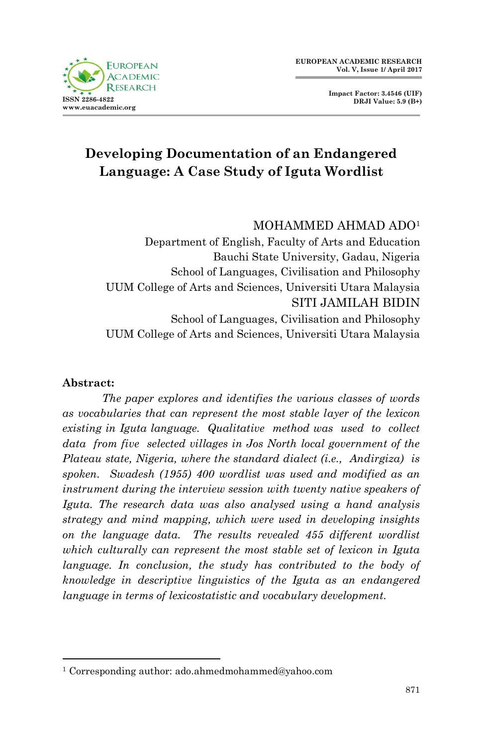

**Impact Factor: 3.4546 (UIF) DRJI Value: 5.9 (B+)**

# **Developing Documentation of an Endangered Language: A Case Study of Iguta Wordlist**

## MOHAMMED AHMAD ADO<sup>1</sup>

Department of English, Faculty of Arts and Education Bauchi State University, Gadau, Nigeria School of Languages, Civilisation and Philosophy UUM College of Arts and Sciences, Universiti Utara Malaysia SITI JAMILAH BIDIN School of Languages, Civilisation and Philosophy UUM College of Arts and Sciences, Universiti Utara Malaysia

### **Abstract:**

1

*The paper explores and identifies the various classes of words as vocabularies that can represent the most stable layer of the lexicon existing in Iguta language. Qualitative method was used to collect data from five selected villages in Jos North local government of the Plateau state, Nigeria, where the standard dialect (i.e., Andirgiza) is spoken. Swadesh (1955) 400 wordlist was used and modified as an instrument during the interview session with twenty native speakers of Iguta. The research data was also analysed using a hand analysis strategy and mind mapping, which were used in developing insights on the language data. The results revealed 455 different wordlist which culturally can represent the most stable set of lexicon in Iguta language. In conclusion, the study has contributed to the body of knowledge in descriptive linguistics of the Iguta as an endangered language in terms of lexicostatistic and vocabulary development.* 

<sup>1</sup> Corresponding author: ado.ahmedmohammed@yahoo.com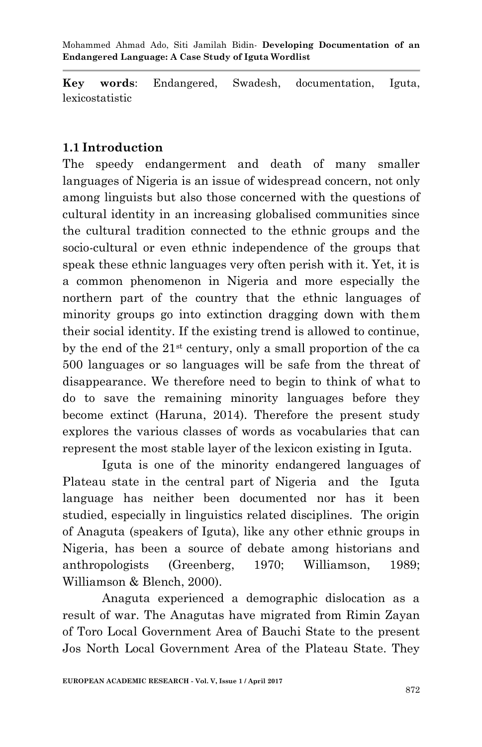**Key words**: Endangered, Swadesh, documentation, Iguta, lexicostatistic

## **1.1 Introduction**

The speedy endangerment and death of many smaller languages of Nigeria is an issue of widespread concern, not only among linguists but also those concerned with the questions of cultural identity in an increasing globalised communities since the cultural tradition connected to the ethnic groups and the socio-cultural or even ethnic independence of the groups that speak these ethnic languages very often perish with it. Yet, it is a common phenomenon in Nigeria and more especially the northern part of the country that the ethnic languages of minority groups go into extinction dragging down with them their social identity. If the existing trend is allowed to continue, by the end of the  $21<sup>st</sup>$  century, only a small proportion of the ca 500 languages or so languages will be safe from the threat of disappearance. We therefore need to begin to think of what to do to save the remaining minority languages before they become extinct (Haruna, 2014). Therefore the present study explores the various classes of words as vocabularies that can represent the most stable layer of the lexicon existing in Iguta.

Iguta is one of the minority endangered languages of Plateau state in the central part of Nigeria and the Iguta language has neither been documented nor has it been studied, especially in linguistics related disciplines. The origin of Anaguta (speakers of Iguta), like any other ethnic groups in Nigeria, has been a source of debate among historians and anthropologists (Greenberg, 1970; Williamson, 1989; Williamson & Blench, 2000).

Anaguta experienced a demographic dislocation as a result of war. The Anagutas have migrated from Rimin Zayan of Toro Local Government Area of Bauchi State to the present Jos North Local Government Area of the Plateau State. They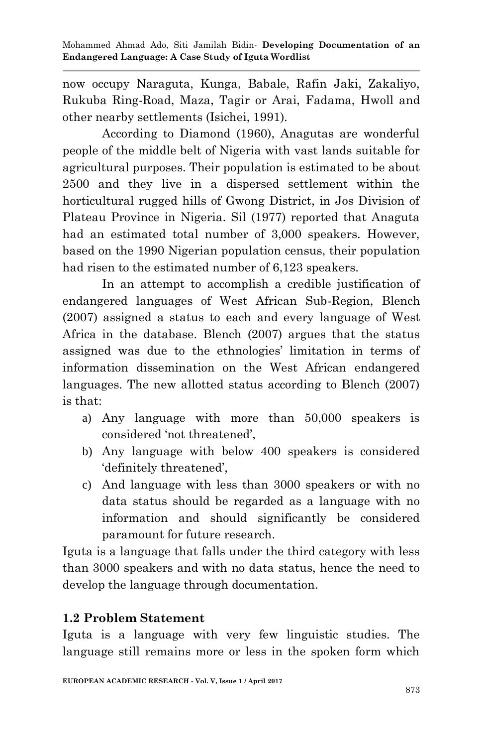now occupy Naraguta, Kunga, Babale, Rafin Jaki, Zakaliyo, Rukuba Ring-Road, Maza, Tagir or Arai, Fadama, Hwoll and other nearby settlements (Isichei, 1991).

According to Diamond (1960), Anagutas are wonderful people of the middle belt of Nigeria with vast lands suitable for agricultural purposes. Their population is estimated to be about 2500 and they live in a dispersed settlement within the horticultural rugged hills of Gwong District, in Jos Division of Plateau Province in Nigeria. Sil (1977) reported that Anaguta had an estimated total number of 3,000 speakers. However, based on the 1990 Nigerian population census, their population had risen to the estimated number of 6,123 speakers.

In an attempt to accomplish a credible justification of endangered languages of West African Sub-Region, Blench (2007) assigned a status to each and every language of West Africa in the database. Blench (2007) argues that the status assigned was due to the ethnologies' limitation in terms of information dissemination on the West African endangered languages. The new allotted status according to Blench (2007) is that:

- a) Any language with more than 50,000 speakers is considered 'not threatened',
- b) Any language with below 400 speakers is considered definitely threatened',
- c) And language with less than 3000 speakers or with no data status should be regarded as a language with no information and should significantly be considered paramount for future research.

Iguta is a language that falls under the third category with less than 3000 speakers and with no data status, hence the need to develop the language through documentation.

## **1.2 Problem Statement**

Iguta is a language with very few linguistic studies. The language still remains more or less in the spoken form which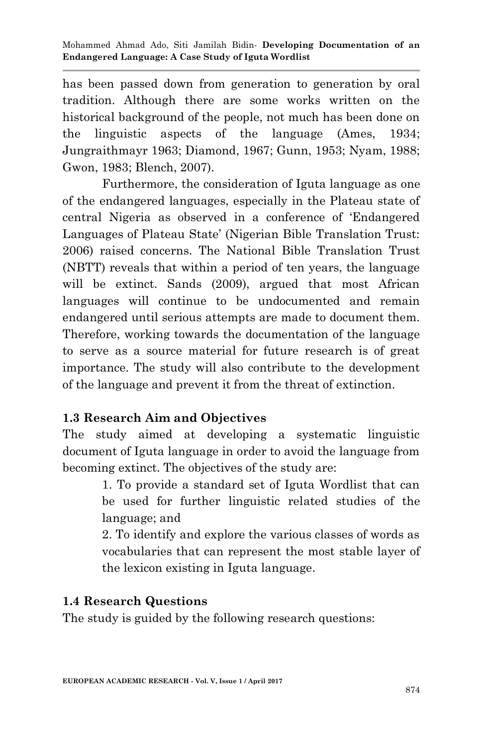has been passed down from generation to generation by oral tradition. Although there are some works written on the historical background of the people, not much has been done on the linguistic aspects of the language (Ames, 1934; Jungraithmayr 1963; Diamond, 1967; Gunn, 1953; Nyam, 1988; Gwon, 1983; Blench, 2007).

 Furthermore, the consideration of Iguta language as one of the endangered languages, especially in the Plateau state of central Nigeria as observed in a conference of ‗Endangered Languages of Plateau State' (Nigerian Bible Translation Trust: 2006) raised concerns. The National Bible Translation Trust (NBTT) reveals that within a period of ten years, the language will be extinct. Sands (2009), argued that most African languages will continue to be undocumented and remain endangered until serious attempts are made to document them. Therefore, working towards the documentation of the language to serve as a source material for future research is of great importance. The study will also contribute to the development of the language and prevent it from the threat of extinction.

## **1.3 Research Aim and Objectives**

The study aimed at developing a systematic linguistic document of Iguta language in order to avoid the language from becoming extinct. The objectives of the study are:

> 1. To provide a standard set of Iguta Wordlist that can be used for further linguistic related studies of the language; and

> 2. To identify and explore the various classes of words as vocabularies that can represent the most stable layer of the lexicon existing in Iguta language.

## **1.4 Research Questions**

The study is guided by the following research questions: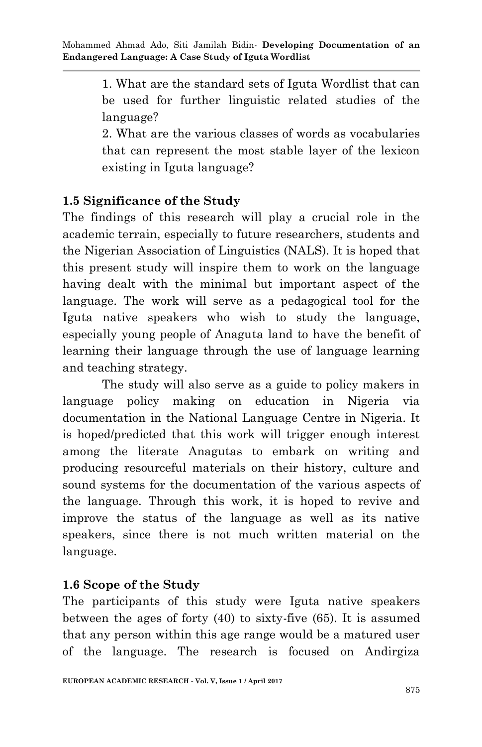1. What are the standard sets of Iguta Wordlist that can be used for further linguistic related studies of the language?

2. What are the various classes of words as vocabularies that can represent the most stable layer of the lexicon existing in Iguta language?

## **1.5 Significance of the Study**

The findings of this research will play a crucial role in the academic terrain, especially to future researchers, students and the Nigerian Association of Linguistics (NALS). It is hoped that this present study will inspire them to work on the language having dealt with the minimal but important aspect of the language. The work will serve as a pedagogical tool for the Iguta native speakers who wish to study the language, especially young people of Anaguta land to have the benefit of learning their language through the use of language learning and teaching strategy.

The study will also serve as a guide to policy makers in language policy making on education in Nigeria via documentation in the National Language Centre in Nigeria. It is hoped/predicted that this work will trigger enough interest among the literate Anagutas to embark on writing and producing resourceful materials on their history, culture and sound systems for the documentation of the various aspects of the language. Through this work, it is hoped to revive and improve the status of the language as well as its native speakers, since there is not much written material on the language.

## **1.6 Scope of the Study**

The participants of this study were Iguta native speakers between the ages of forty (40) to sixty-five (65). It is assumed that any person within this age range would be a matured user of the language. The research is focused on Andirgiza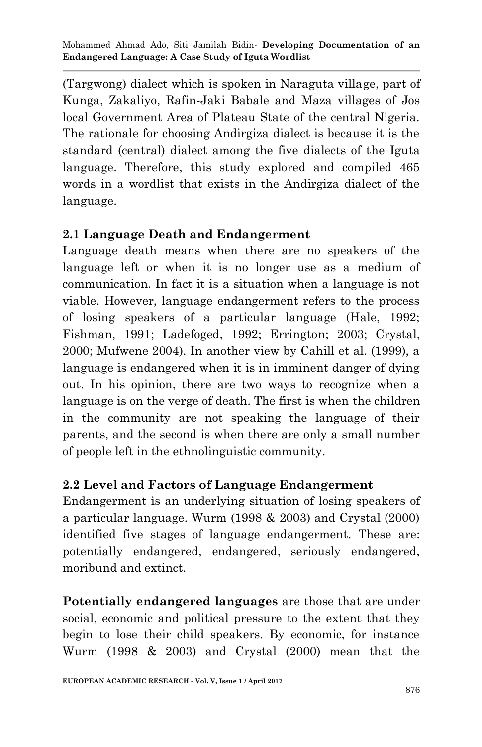(Targwong) dialect which is spoken in Naraguta village, part of Kunga, Zakaliyo, Rafin-Jaki Babale and Maza villages of Jos local Government Area of Plateau State of the central Nigeria. The rationale for choosing Andirgiza dialect is because it is the standard (central) dialect among the five dialects of the Iguta language. Therefore, this study explored and compiled 465 words in a wordlist that exists in the Andirgiza dialect of the language.

## **2.1 Language Death and Endangerment**

Language death means when there are no speakers of the language left or when it is no longer use as a medium of communication. In fact it is a situation when a language is not viable. However, language endangerment refers to the process of losing speakers of a particular language (Hale, 1992; Fishman, 1991; Ladefoged, 1992; Errington; 2003; Crystal, 2000; Mufwene 2004). In another view by Cahill et al. (1999), a language is endangered when it is in imminent danger of dying out. In his opinion, there are two ways to recognize when a language is on the verge of death. The first is when the children in the community are not speaking the language of their parents, and the second is when there are only a small number of people left in the ethnolinguistic community.

### **2.2 Level and Factors of Language Endangerment**

Endangerment is an underlying situation of losing speakers of a particular language. Wurm (1998 & 2003) and Crystal (2000) identified five stages of language endangerment. These are: potentially endangered, endangered, seriously endangered, moribund and extinct.

**Potentially endangered languages** are those that are under social, economic and political pressure to the extent that they begin to lose their child speakers. By economic, for instance Wurm (1998 & 2003) and Crystal (2000) mean that the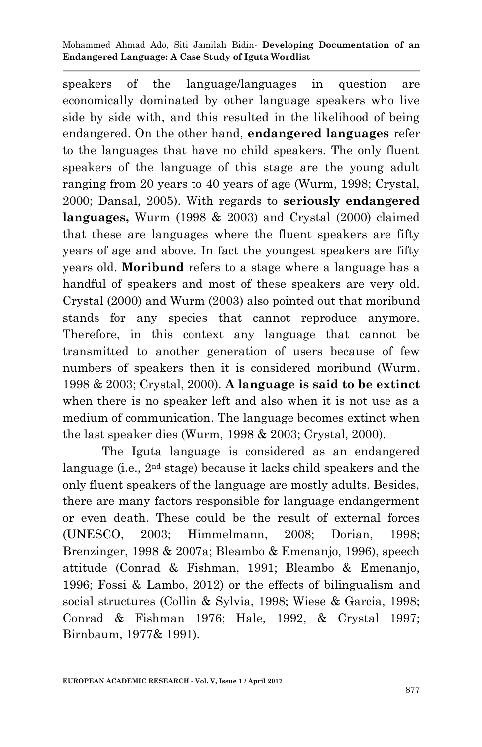speakers of the language/languages in question are economically dominated by other language speakers who live side by side with, and this resulted in the likelihood of being endangered. On the other hand, **endangered languages** refer to the languages that have no child speakers. The only fluent speakers of the language of this stage are the young adult ranging from 20 years to 40 years of age (Wurm, 1998; Crystal, 2000; Dansal, 2005). With regards to **seriously endangered languages,** Wurm (1998 & 2003) and Crystal (2000) claimed that these are languages where the fluent speakers are fifty years of age and above. In fact the youngest speakers are fifty years old. **Moribund** refers to a stage where a language has a handful of speakers and most of these speakers are very old. Crystal (2000) and Wurm (2003) also pointed out that moribund stands for any species that cannot reproduce anymore. Therefore, in this context any language that cannot be transmitted to another generation of users because of few numbers of speakers then it is considered moribund (Wurm, 1998 & 2003; Crystal, 2000). **A language is said to be extinct**  when there is no speaker left and also when it is not use as a medium of communication. The language becomes extinct when the last speaker dies (Wurm, 1998 & 2003; Crystal, 2000).

The Iguta language is considered as an endangered language (i.e., 2<sup>nd</sup> stage) because it lacks child speakers and the only fluent speakers of the language are mostly adults. Besides, there are many factors responsible for language endangerment or even death. These could be the result of external forces (UNESCO, 2003; Himmelmann, 2008; Dorian, 1998; Brenzinger, 1998 & 2007a; Bleambo & Emenanjo, 1996), speech attitude (Conrad & Fishman, 1991; Bleambo & Emenanjo, 1996; Fossi & Lambo, 2012) or the effects of bilingualism and social structures (Collin & Sylvia, 1998; Wiese & Garcia, 1998; Conrad & Fishman 1976; Hale, 1992, & Crystal 1997; Birnbaum, 1977& 1991).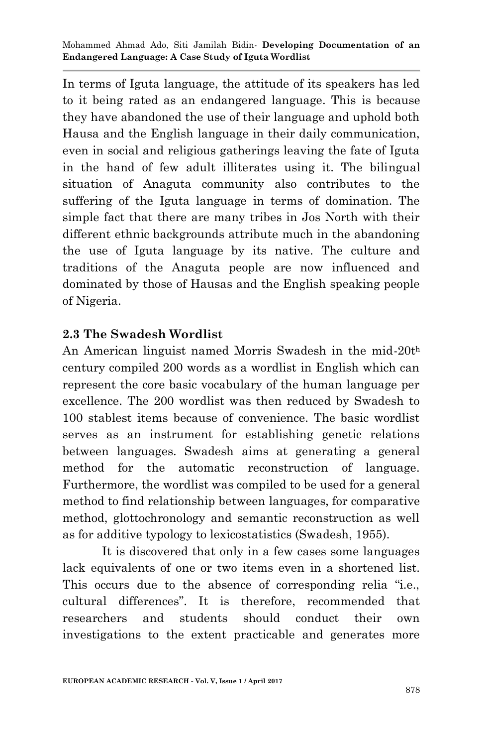In terms of Iguta language, the attitude of its speakers has led to it being rated as an endangered language. This is because they have abandoned the use of their language and uphold both Hausa and the English language in their daily communication, even in social and religious gatherings leaving the fate of Iguta in the hand of few adult illiterates using it. The bilingual situation of Anaguta community also contributes to the suffering of the Iguta language in terms of domination. The simple fact that there are many tribes in Jos North with their different ethnic backgrounds attribute much in the abandoning the use of Iguta language by its native. The culture and traditions of the Anaguta people are now influenced and dominated by those of Hausas and the English speaking people of Nigeria.

## **2.3 The Swadesh Wordlist**

An American linguist named Morris Swadesh in the mid-20t<sup>h</sup> century compiled 200 words as a wordlist in English which can represent the core basic vocabulary of the human language per excellence. The 200 wordlist was then reduced by Swadesh to 100 stablest items because of convenience. The basic wordlist serves as an instrument for establishing genetic relations between languages. Swadesh aims at generating a general method for the automatic reconstruction of language. Furthermore, the wordlist was compiled to be used for a general method to find relationship between languages, for comparative method, glottochronology and semantic reconstruction as well as for additive typology to lexicostatistics (Swadesh, 1955).

It is discovered that only in a few cases some languages lack equivalents of one or two items even in a shortened list. This occurs due to the absence of corresponding relia "i.e., cultural differences". It is therefore, recommended that researchers and students should conduct their own investigations to the extent practicable and generates more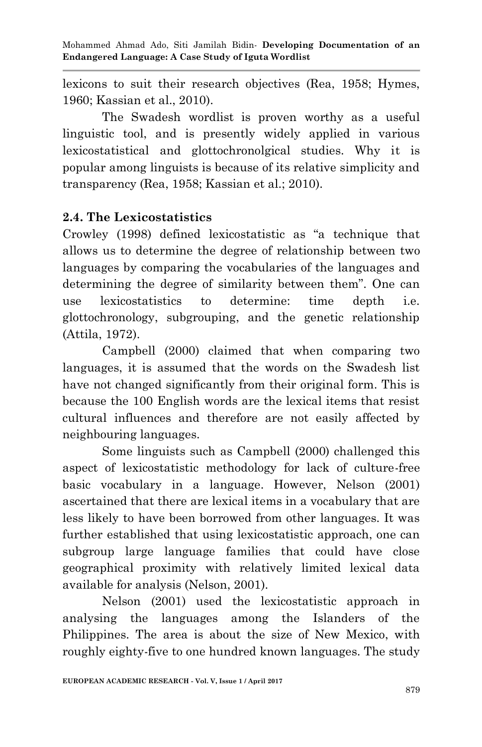lexicons to suit their research objectives (Rea, 1958; Hymes, 1960; Kassian et al., 2010).

 The Swadesh wordlist is proven worthy as a useful linguistic tool, and is presently widely applied in various lexicostatistical and glottochronolgical studies. Why it is popular among linguists is because of its relative simplicity and transparency (Rea, 1958; Kassian et al.; 2010).

## **2.4. The Lexicostatistics**

Crowley (1998) defined lexicostatistic as "a technique that allows us to determine the degree of relationship between two languages by comparing the vocabularies of the languages and determining the degree of similarity between them". One can use lexicostatistics to determine: time depth i.e. glottochronology, subgrouping, and the genetic relationship (Attila, 1972).

 Campbell (2000) claimed that when comparing two languages, it is assumed that the words on the Swadesh list have not changed significantly from their original form. This is because the 100 English words are the lexical items that resist cultural influences and therefore are not easily affected by neighbouring languages.

 Some linguists such as Campbell (2000) challenged this aspect of lexicostatistic methodology for lack of culture-free basic vocabulary in a language. However, Nelson (2001) ascertained that there are lexical items in a vocabulary that are less likely to have been borrowed from other languages. It was further established that using lexicostatistic approach, one can subgroup large language families that could have close geographical proximity with relatively limited lexical data available for analysis (Nelson, 2001).

 Nelson (2001) used the lexicostatistic approach in analysing the languages among the Islanders of the Philippines. The area is about the size of New Mexico, with roughly eighty-five to one hundred known languages. The study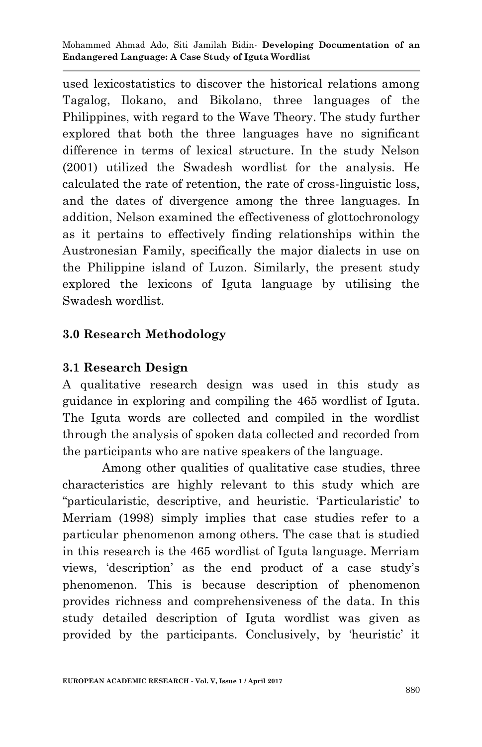used lexicostatistics to discover the historical relations among Tagalog, Ilokano, and Bikolano, three languages of the Philippines, with regard to the Wave Theory. The study further explored that both the three languages have no significant difference in terms of lexical structure. In the study Nelson (2001) utilized the Swadesh wordlist for the analysis. He calculated the rate of retention, the rate of cross-linguistic loss, and the dates of divergence among the three languages. In addition, Nelson examined the effectiveness of glottochronology as it pertains to effectively finding relationships within the Austronesian Family, specifically the major dialects in use on the Philippine island of Luzon. Similarly, the present study explored the lexicons of Iguta language by utilising the Swadesh wordlist.

## **3.0 Research Methodology**

## **3.1 Research Design**

A qualitative research design was used in this study as guidance in exploring and compiling the 465 wordlist of Iguta. The Iguta words are collected and compiled in the wordlist through the analysis of spoken data collected and recorded from the participants who are native speakers of the language.

Among other qualities of qualitative case studies, three characteristics are highly relevant to this study which are ―particularistic, descriptive, and heuristic. ‗Particularistic' to Merriam (1998) simply implies that case studies refer to a particular phenomenon among others. The case that is studied in this research is the 465 wordlist of Iguta language. Merriam views, ‗description' as the end product of a case study's phenomenon. This is because description of phenomenon provides richness and comprehensiveness of the data. In this study detailed description of Iguta wordlist was given as provided by the participants. Conclusively, by ‗heuristic' it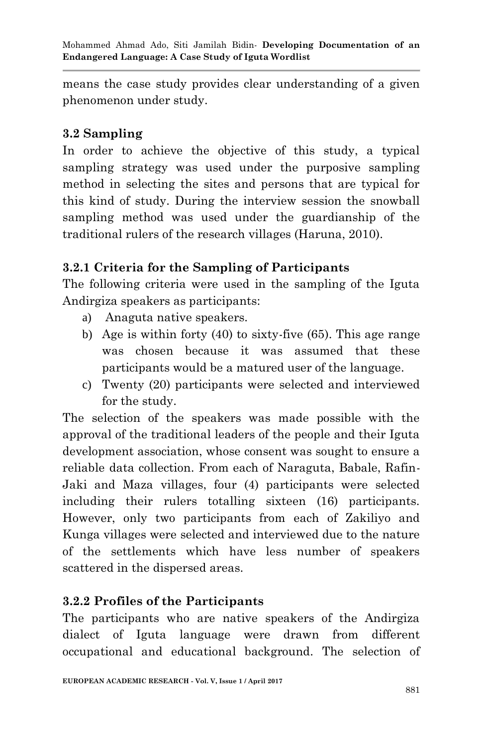means the case study provides clear understanding of a given phenomenon under study.

### **3.2 Sampling**

In order to achieve the objective of this study, a typical sampling strategy was used under the purposive sampling method in selecting the sites and persons that are typical for this kind of study. During the interview session the snowball sampling method was used under the guardianship of the traditional rulers of the research villages (Haruna, 2010).

## **3.2.1 Criteria for the Sampling of Participants**

The following criteria were used in the sampling of the Iguta Andirgiza speakers as participants:

- a) Anaguta native speakers.
- b) Age is within forty (40) to sixty-five (65). This age range was chosen because it was assumed that these participants would be a matured user of the language.
- c) Twenty (20) participants were selected and interviewed for the study.

The selection of the speakers was made possible with the approval of the traditional leaders of the people and their Iguta development association, whose consent was sought to ensure a reliable data collection. From each of Naraguta, Babale, Rafin-Jaki and Maza villages, four (4) participants were selected including their rulers totalling sixteen (16) participants. However, only two participants from each of Zakiliyo and Kunga villages were selected and interviewed due to the nature of the settlements which have less number of speakers scattered in the dispersed areas.

## **3.2.2 Profiles of the Participants**

The participants who are native speakers of the Andirgiza dialect of Iguta language were drawn from different occupational and educational background. The selection of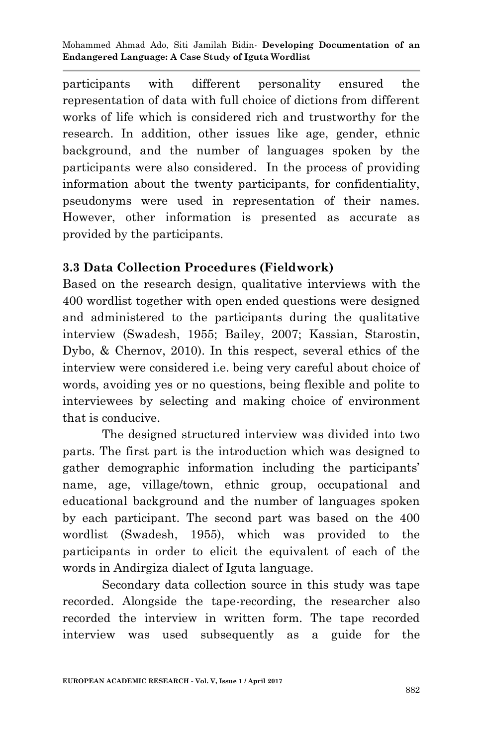participants with different personality ensured the representation of data with full choice of dictions from different works of life which is considered rich and trustworthy for the research. In addition, other issues like age, gender, ethnic background, and the number of languages spoken by the participants were also considered. In the process of providing information about the twenty participants, for confidentiality, pseudonyms were used in representation of their names. However, other information is presented as accurate as provided by the participants.

## **3.3 Data Collection Procedures (Fieldwork)**

Based on the research design, qualitative interviews with the 400 wordlist together with open ended questions were designed and administered to the participants during the qualitative interview (Swadesh, 1955; Bailey, 2007; Kassian, Starostin, Dybo, & Chernov, 2010). In this respect, several ethics of the interview were considered i.e. being very careful about choice of words, avoiding yes or no questions, being flexible and polite to interviewees by selecting and making choice of environment that is conducive.

The designed structured interview was divided into two parts. The first part is the introduction which was designed to gather demographic information including the participants' name, age, village/town, ethnic group, occupational and educational background and the number of languages spoken by each participant. The second part was based on the 400 wordlist (Swadesh, 1955), which was provided to the participants in order to elicit the equivalent of each of the words in Andirgiza dialect of Iguta language.

Secondary data collection source in this study was tape recorded. Alongside the tape-recording, the researcher also recorded the interview in written form. The tape recorded interview was used subsequently as a guide for the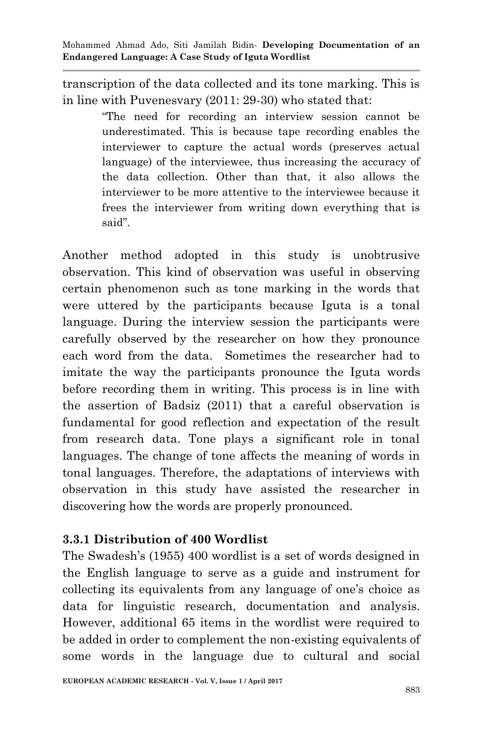transcription of the data collected and its tone marking. This is in line with Puvenesvary (2011: 29-30) who stated that:

> ―The need for recording an interview session cannot be underestimated. This is because tape recording enables the interviewer to capture the actual words (preserves actual language) of the interviewee, thus increasing the accuracy of the data collection. Other than that, it also allows the interviewer to be more attentive to the interviewee because it frees the interviewer from writing down everything that is said".

Another method adopted in this study is unobtrusive observation. This kind of observation was useful in observing certain phenomenon such as tone marking in the words that were uttered by the participants because Iguta is a tonal language. During the interview session the participants were carefully observed by the researcher on how they pronounce each word from the data. Sometimes the researcher had to imitate the way the participants pronounce the Iguta words before recording them in writing. This process is in line with the assertion of Badsiz (2011) that a careful observation is fundamental for good reflection and expectation of the result from research data. Tone plays a significant role in tonal languages. The change of tone affects the meaning of words in tonal languages. Therefore, the adaptations of interviews with observation in this study have assisted the researcher in discovering how the words are properly pronounced.

## **3.3.1 Distribution of 400 Wordlist**

The Swadesh's (1955) 400 wordlist is a set of words designed in the English language to serve as a guide and instrument for collecting its equivalents from any language of one's choice as data for linguistic research, documentation and analysis. However, additional 65 items in the wordlist were required to be added in order to complement the non-existing equivalents of some words in the language due to cultural and social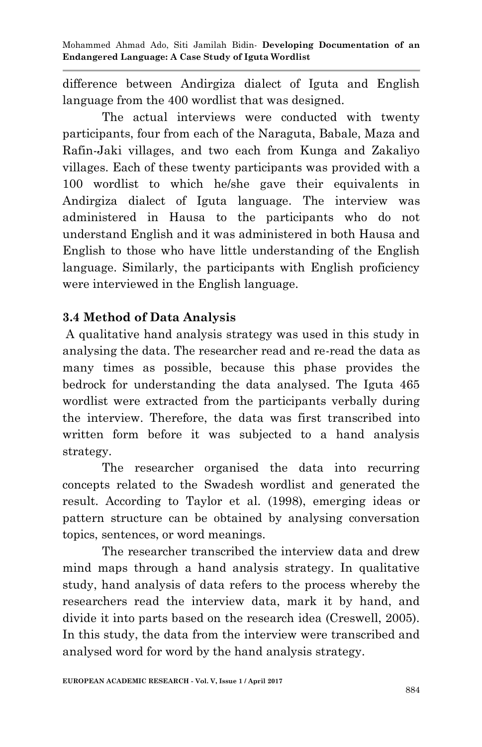difference between Andirgiza dialect of Iguta and English language from the 400 wordlist that was designed.

The actual interviews were conducted with twenty participants, four from each of the Naraguta, Babale, Maza and Rafin-Jaki villages, and two each from Kunga and Zakaliyo villages. Each of these twenty participants was provided with a 100 wordlist to which he/she gave their equivalents in Andirgiza dialect of Iguta language. The interview was administered in Hausa to the participants who do not understand English and it was administered in both Hausa and English to those who have little understanding of the English language. Similarly, the participants with English proficiency were interviewed in the English language.

## **3.4 Method of Data Analysis**

A qualitative hand analysis strategy was used in this study in analysing the data. The researcher read and re-read the data as many times as possible, because this phase provides the bedrock for understanding the data analysed. The Iguta 465 wordlist were extracted from the participants verbally during the interview. Therefore, the data was first transcribed into written form before it was subjected to a hand analysis strategy.

The researcher organised the data into recurring concepts related to the Swadesh wordlist and generated the result. According to Taylor et al. (1998), emerging ideas or pattern structure can be obtained by analysing conversation topics, sentences, or word meanings.

The researcher transcribed the interview data and drew mind maps through a hand analysis strategy. In qualitative study, hand analysis of data refers to the process whereby the researchers read the interview data, mark it by hand, and divide it into parts based on the research idea (Creswell, 2005). In this study, the data from the interview were transcribed and analysed word for word by the hand analysis strategy.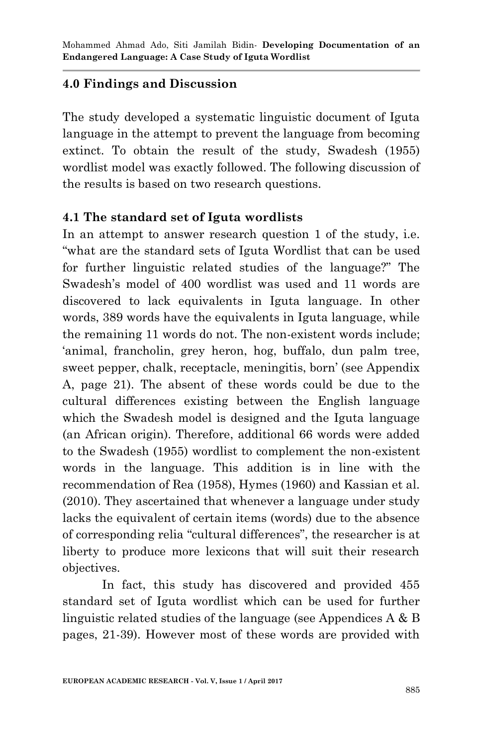## **4.0 Findings and Discussion**

The study developed a systematic linguistic document of Iguta language in the attempt to prevent the language from becoming extinct. To obtain the result of the study, Swadesh (1955) wordlist model was exactly followed. The following discussion of the results is based on two research questions.

## **4.1 The standard set of Iguta wordlists**

In an attempt to answer research question 1 of the study, *i.e.* ―what are the standard sets of Iguta Wordlist that can be used for further linguistic related studies of the language?" The Swadesh's model of 400 wordlist was used and 11 words are discovered to lack equivalents in Iguta language. In other words, 389 words have the equivalents in Iguta language, while the remaining 11 words do not. The non-existent words include; ‗animal, francholin, grey heron, hog, buffalo, dun palm tree, sweet pepper, chalk, receptacle, meningitis, born' (see Appendix A, page 21). The absent of these words could be due to the cultural differences existing between the English language which the Swadesh model is designed and the Iguta language (an African origin). Therefore, additional 66 words were added to the Swadesh (1955) wordlist to complement the non-existent words in the language. This addition is in line with the recommendation of Rea (1958), Hymes (1960) and Kassian et al. (2010). They ascertained that whenever a language under study lacks the equivalent of certain items (words) due to the absence of corresponding relia "cultural differences", the researcher is at liberty to produce more lexicons that will suit their research objectives.

 In fact, this study has discovered and provided 455 standard set of Iguta wordlist which can be used for further linguistic related studies of the language (see Appendices A & B pages, 21-39). However most of these words are provided with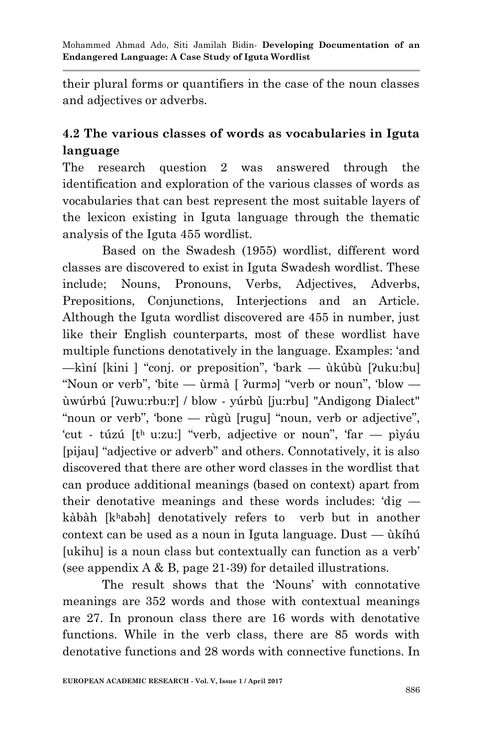their plural forms or quantifiers in the case of the noun classes and adjectives or adverbs.

## **4.2 The various classes of words as vocabularies in Iguta language**

The research question 2 was answered through the identification and exploration of the various classes of words as vocabularies that can best represent the most suitable layers of the lexicon existing in Iguta language through the thematic analysis of the Iguta 455 wordlist.

Based on the Swadesh (1955) wordlist, different word classes are discovered to exist in Iguta Swadesh wordlist. These include; Nouns, Pronouns, Verbs, Adjectives, Adverbs, Prepositions, Conjunctions, Interjections and an Article. Although the Iguta wordlist discovered are 455 in number, just like their English counterparts, most of these wordlist have multiple functions denotatively in the language. Examples: 'and —kìní [kini ] "conj. or preposition", 'bark — ùkûbù [ʔuku:bu] "Noun or verb", 'bite — ùrmà  $\lceil$  ?urməl "verb or noun", 'blow ùwúrbú [ʔuwu:rbu:r] / blow - yúrbù [ju:rbu] "Andigong Dialect" "noun or verb", 'bone — rùgù [rugu] "noun, verb or adjective", 'cut - túzú  $[t<sup>h</sup>$  u:zu: "verb, adjective or noun", 'far — pìyáu [pijau] "adjective or adverb" and others. Connotatively, it is also discovered that there are other word classes in the wordlist that can produce additional meanings (based on context) apart from their denotative meanings and these words includes:  $dig$ kàbàh [khabəh] denotatively refers to verb but in another context can be used as a noun in Iguta language. Dust — ùkíhú [ukihu] is a noun class but contextually can function as a verb' (see appendix  $A \& B$ , page 21-39) for detailed illustrations.

The result shows that the 'Nouns' with connotative meanings are 352 words and those with contextual meanings are 27. In pronoun class there are 16 words with denotative functions. While in the verb class, there are 85 words with denotative functions and 28 words with connective functions. In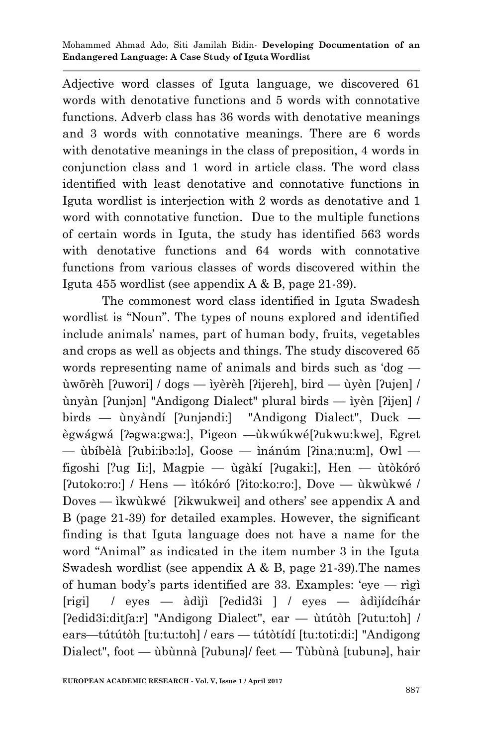Adjective word classes of Iguta language, we discovered 61 words with denotative functions and 5 words with connotative functions. Adverb class has 36 words with denotative meanings and 3 words with connotative meanings. There are 6 words with denotative meanings in the class of preposition, 4 words in conjunction class and 1 word in article class. The word class identified with least denotative and connotative functions in Iguta wordlist is interjection with 2 words as denotative and 1 word with connotative function. Due to the multiple functions of certain words in Iguta, the study has identified 563 words with denotative functions and 64 words with connotative functions from various classes of words discovered within the Iguta 455 wordlist (see appendix A & B, page 21-39).

 The commonest word class identified in Iguta Swadesh wordlist is "Noun". The types of nouns explored and identified include animals' names, part of human body, fruits, vegetables and crops as well as objects and things. The study discovered 65 words representing name of animals and birds such as  $d$ og  $$ ùwõrèh [ʔuwori] / dogs — ìyèrèh [ʔijereh], bird — ùyèn [ʔujen] / ùnyàn [ʔunjǝn] "Andigong Dialect" plural birds — ìyèn [ʔijen] / birds — ùnyàndí [ʔunjǝndi:] "Andigong Dialect", Duck ègwágwá [ʔǝgwa:gwa:], Pigeon —ùkwúkwé[ʔukwu:kwe], Egret — ùbíbèlà [ʔubi:ibǝ:lǝ], Goose — ìnánúm [ʔina:nu:m], Owl figoshi [?ug Ii:], Magpie — ùgàkí [ʔugaki:], Hen — ùtòkóró [ʔutoko:ro:] / Hens — ìtókóró [ʔito:ko:ro:], Dove — ùkwùkwé / Doves — ìkwùkwé [ʔikwukwei] and others' see appendix A and B (page 21-39) for detailed examples. However, the significant finding is that Iguta language does not have a name for the word "Animal" as indicated in the item number 3 in the Iguta Swadesh wordlist (see appendix  $A \& B$ , page 21-39). The names of human body's parts identified are 33. Examples: 'eye  $-$  rìgì [rigi] / eyes — àdìjì [ʔedid3i ] / eyes — àdìjídcíhár [ʔedid3i:ditʃa:r] "Andigong Dialect", ear — ùtútòh [ʔutu:toh] / ears—tútútòh [tu:tu:toh] / ears — tútòtídí [tu:toti:di:] "Andigong Dialect", foot — ùbùnnà [ʔubunǝ]/ feet — Tùbùnà [tubunǝ], hair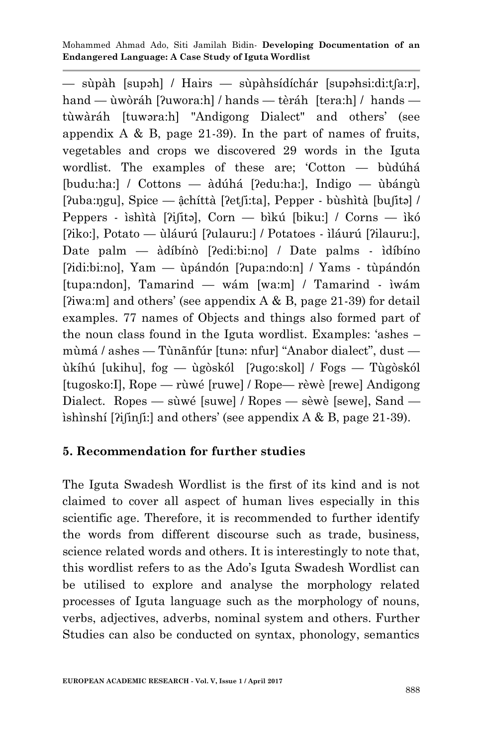— sùpàh [supǝh] / Hairs — sùpàhsídíchár [supǝhsi:di:tʃa:r], hand — ùwòráh [ʔuwora:h] / hands — tèráh [tera:h] / hands tùwàráh [tuwəra:h] "Andigong Dialect" and others' (see appendix A & B, page 21-39). In the part of names of fruits, vegetables and crops we discovered 29 words in the Iguta wordlist. The examples of these are; 'Cotton  $-$  bùdúhá [budu:ha:] / Cottons — àdúhá [ʔedu:ha:], Indigo — ùbángù [ʔuba:ŋgu], Spice — ậchíttà [ʔetʃi:ta], Pepper - bùshìtà [buʃitǝ] / Peppers - ìshìtà [ʔiʃitǝ], Corn — bìkú [biku:] / Corns — ìkó [ʔiko:], Potato — ùláurú [ʔulauru:] / Potatoes - ìláurú [ʔilauru:], Date palm — àdíbínò [ʔedi:bi:no] / Date palms - ìdíbíno [ʔidi:bi:no], Yam — ùpándón [ʔupa:ndo:n] / Yams - tùpándón [tupa:ndon], Tamarind — wám [wa:m] / Tamarind - ìwám [ $\gamma$ iwa:m] and others' (see appendix A & B, page 21-39) for detail examples. 77 names of Objects and things also formed part of the noun class found in the Iguta wordlist. Examples: 'ashes –  $m\hat{a}$  / ashes — Tùnãnfúr [tunǝ: nfur] "Anabor dialect", dust ùkíhú [ukihu], fog — ùgòskól [ʔugo:skol] / Fogs — Tùgòskól [tugosko:I], Rope — rùwé [ruwe] / Rope— rèwè [rewe] Andigong Dialect. Ropes — sùwé [suwe] / Ropes — sèwè [sewe], Sand ìshìnshí [ʔiʃinʃi:] and others' (see appendix A & B, page 21-39).

## **5. Recommendation for further studies**

The Iguta Swadesh Wordlist is the first of its kind and is not claimed to cover all aspect of human lives especially in this scientific age. Therefore, it is recommended to further identify the words from different discourse such as trade, business, science related words and others. It is interestingly to note that, this wordlist refers to as the Ado's Iguta Swadesh Wordlist can be utilised to explore and analyse the morphology related processes of Iguta language such as the morphology of nouns, verbs, adjectives, adverbs, nominal system and others. Further Studies can also be conducted on syntax, phonology, semantics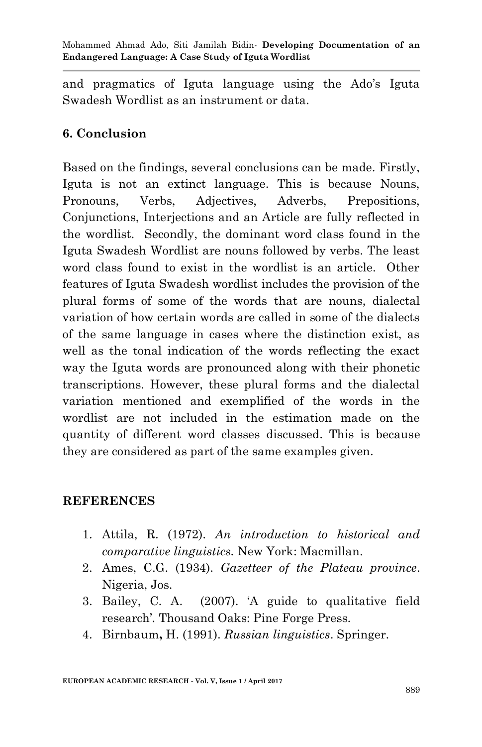and pragmatics of Iguta language using the Ado's Iguta Swadesh Wordlist as an instrument or data.

## **6. Conclusion**

Based on the findings, several conclusions can be made. Firstly, Iguta is not an extinct language. This is because Nouns, Pronouns, Verbs, Adjectives, Adverbs, Prepositions, Conjunctions, Interjections and an Article are fully reflected in the wordlist. Secondly, the dominant word class found in the Iguta Swadesh Wordlist are nouns followed by verbs. The least word class found to exist in the wordlist is an article. Other features of Iguta Swadesh wordlist includes the provision of the plural forms of some of the words that are nouns, dialectal variation of how certain words are called in some of the dialects of the same language in cases where the distinction exist, as well as the tonal indication of the words reflecting the exact way the Iguta words are pronounced along with their phonetic transcriptions. However, these plural forms and the dialectal variation mentioned and exemplified of the words in the wordlist are not included in the estimation made on the quantity of different word classes discussed. This is because they are considered as part of the same examples given.

## **REFERENCES**

- 1. Attila, R. (1972). *An introduction to historical and comparative linguistics.* New York: Macmillan.
- 2. Ames, C.G. (1934). *Gazetteer of the Plateau province*. Nigeria, Jos.
- 3. Bailey, C. A. (2007). ‗A guide to qualitative field research'*.* Thousand Oaks: Pine Forge Press.
- 4. Birnbaum**,** H. (1991). *Russian linguistics*. Springer.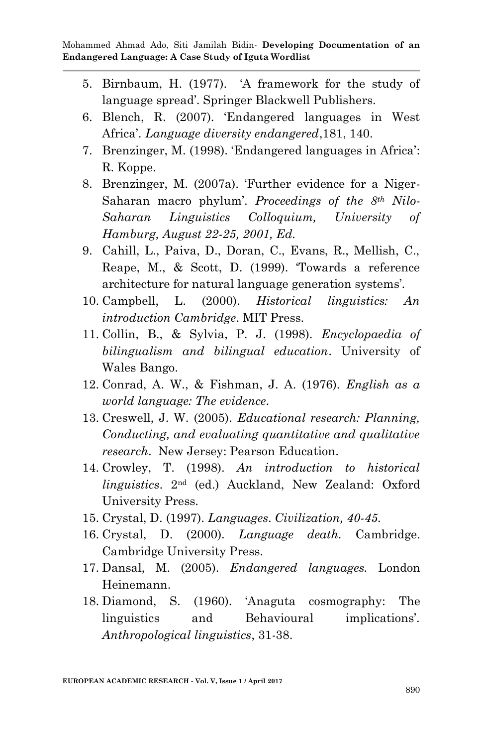- 5. Birnbaum, H. (1977). ‗A framework for the study of language spread'. Springer Blackwell Publishers.
- 6. Blench, R. (2007). ‗Endangered languages in West Africa'. *Language diversity endangered*,181, 140.
- 7. Brenzinger, M. (1998). ‗Endangered languages in Africa': R. Koppe.
- 8. Brenzinger, M. (2007a). Further evidence for a Niger-Saharan macro phylum'. *Proceedings of the 8th Nilo-Saharan Linguistics Colloquium, University of Hamburg, August 22-25, 2001, Ed.*
- 9. Cahill, L., Paiva, D., Doran, C., Evans, R., Mellish, C., Reape, M., & Scott, D. (1999). ‗Towards a reference architecture for natural language generation systems'.
- 10. Campbell, L. (2000). *Historical linguistics: An introduction Cambridge*. MIT Press.
- 11. Collin, B., & Sylvia, P. J. (1998). *Encyclopaedia of bilingualism and bilingual education*. University of Wales Bango.
- 12. Conrad, A. W., & Fishman, J. A. (1976). *English as a world language: The evidence*.
- 13. Creswell, J. W. (2005). *Educational research: Planning, Conducting, and evaluating quantitative and qualitative research*. New Jersey: Pearson Education.
- 14. Crowley, T. (1998). *An introduction to historical linguistics*. 2nd (ed.) Auckland, New Zealand: Oxford University Press.
- 15. Crystal, D. (1997). *Languages*. *Civilization, 40-45.*
- 16. Crystal, D. (2000). *Language death.* Cambridge. Cambridge University Press.
- 17. Dansal, M. (2005). *Endangered languages.* London Heinemann.
- 18. Diamond, S. (1960). ‗Anaguta cosmography: The linguistics and Behavioural implications'. *Anthropological linguistics*, 31-38.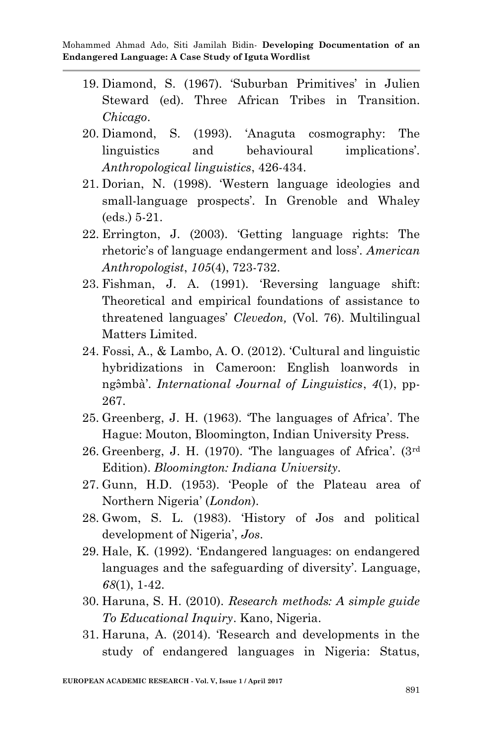- 19. Diamond, S. (1967). ‗Suburban Primitives' in Julien Steward (ed). Three African Tribes in Transition. *Chicago*.
- 20. Diamond, S. (1993). ‗Anaguta cosmography: The linguistics and behavioural implications'. *Anthropological linguistics*, 426-434.
- 21. Dorian, N. (1998). ‗Western language ideologies and small-language prospects'. In Grenoble and Whaley (eds.) 5-21.
- 22. Errington, J. (2003). ‗Getting language rights: The rhetoric's of language endangerment and loss'. *American Anthropologist*, *105*(4), 723-732.
- 23. Fishman, J. A. (1991). ‗Reversing language shift: Theoretical and empirical foundations of assistance to threatened languages' *Clevedon,* (Vol. 76). Multilingual Matters Limited.
- 24. Fossi, A., & Lambo, A. O. (2012). ‗Cultural and linguistic hybridizations in Cameroon: English loanwords in ng mbà'. *International Journal of Linguistics*, 4(1), pp-267.
- 25. Greenberg, J. H. (1963). ‗The languages of Africa'. The Hague: Mouton, Bloomington, Indian University Press.
- 26. Greenberg, J. H. (1970). The languages of Africa'.  $(3<sup>rd</sup>$ Edition). *Bloomington: Indiana University.*
- 27. Gunn, H.D. (1953). 'People of the Plateau area of Northern Nigeria' (*London*).
- 28. Gwom, S. L. (1983). ‗History of Jos and political development of Nigeria', *Jos*.
- 29. Hale, K. (1992). ‗Endangered languages: on endangered languages and the safeguarding of diversity'. Language, *68*(1), 1-42.
- 30. Haruna, S. H. (2010). *Research methods: A simple guide To Educational Inquiry*. Kano, Nigeria.
- 31. Haruna, A. (2014). Research and developments in the study of endangered languages in Nigeria: Status,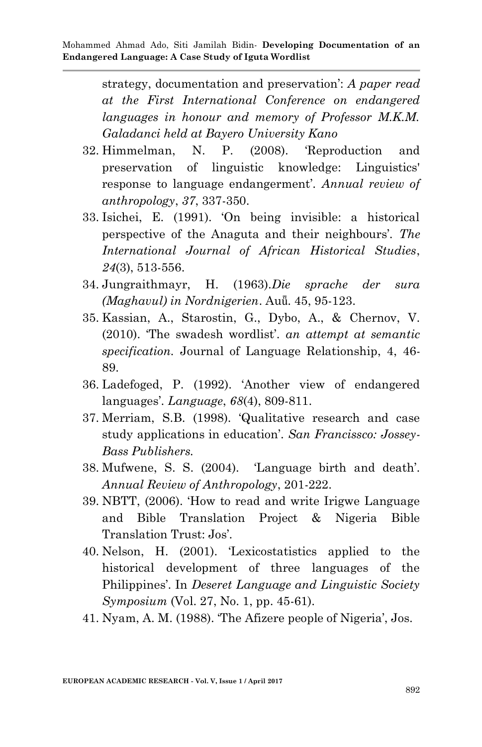strategy, documentation and preservation': *A paper read at the First International Conference on endangered languages in honour and memory of Professor M.K.M. Galadanci held at Bayero University Kano*

- 32. Himmelman, N. P. (2008). ‗Reproduction and preservation of linguistic knowledge: Linguistics' response to language endangerment'. *Annual review of anthropology*, *37*, 337-350.
- 33. Isichei, E. (1991). ‗On being invisible: a historical perspective of the Anaguta and their neighbours'. *The International Journal of African Historical Studies*, *24*(3), 513-556.
- 34. Jungraithmayr, H. (1963).*Die sprache der sura (Maghavul) in Nordnigerien*. Auǖ. 45, 95-123.
- 35. Kassian, A., Starostin, G., Dybo, A., & Chernov, V. (2010). ‗The swadesh wordlist'. *an attempt at semantic specification.* Journal of Language Relationship, 4, 46- 89.
- 36. Ladefoged, P. (1992). ‗Another view of endangered languages'. *Language*, *68*(4), 809-811.
- 37. Merriam, S.B. (1998). ‗Qualitative research and case study applications in education'. *San Francissco: Jossey-Bass Publishers.*
- 38. Mufwene, S. S. (2004). ‗Language birth and death'. *Annual Review of Anthropology*, 201-222.
- 39. NBTT, (2006). ‗How to read and write Irigwe Language and Bible Translation Project & Nigeria Bible Translation Trust: Jos'.
- 40. Nelson, H. (2001). ‗Lexicostatistics applied to the historical development of three languages of the Philippines'. In *Deseret Language and Linguistic Society Symposium* (Vol. 27, No. 1, pp. 45-61).
- 41. Nyam, A. M. (1988). ‗The Afizere people of Nigeria', Jos.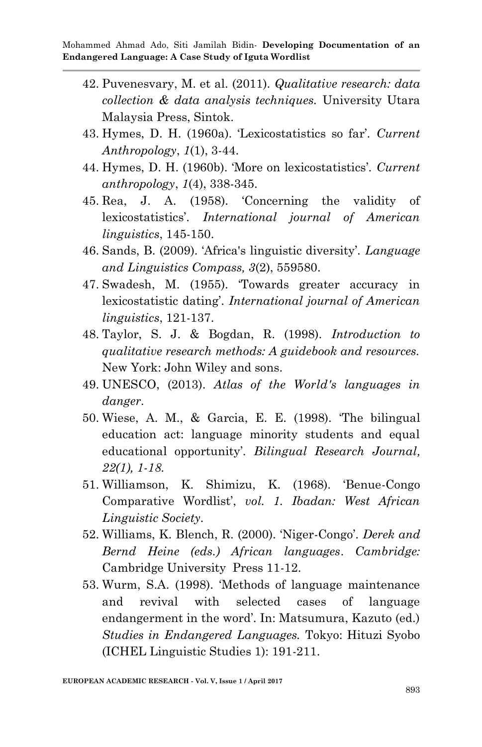- 42. Puvenesvary, M. et al. (2011). *Qualitative research: data collection & data analysis techniques.* University Utara Malaysia Press, Sintok.
- 43. Hymes, D. H. (1960a). ‗Lexicostatistics so far'. *Current Anthropology*, *1*(1), 3-44.
- 44. Hymes, D. H. (1960b). 'More on lexicostatistics'. *Current anthropology*, *1*(4), 338-345.
- 45. Rea, J. A. (1958). ‗Concerning the validity of lexicostatistics'. *International journal of American linguistics*, 145-150.
- 46. Sands, B. (2009). ‗Africa's linguistic diversity'. *Language and Linguistics Compass, 3*(2), 559580.
- 47. Swadesh, M. (1955). ‗Towards greater accuracy in lexicostatistic dating'. *International journal of American linguistics*, 121-137.
- 48. Taylor, S. J. & Bogdan, R. (1998). *Introduction to qualitative research methods: A guidebook and resources.*  New York: John Wiley and sons.
- 49. UNESCO, (2013). *Atlas of the World's languages in danger*.
- 50. Wiese, A. M., & Garcia, E. E. (1998). ‗The bilingual education act: language minority students and equal educational opportunity'. *Bilingual Research Journal, 22(1), 1-18.*
- 51. Williamson, K. Shimizu, K. (1968). ‗Benue-Congo Comparative Wordlist', *vol. 1. Ibadan: West African Linguistic Society.*
- 52. Williams, K. Blench, R. (2000). ‗Niger-Congo'. *Derek and Bernd Heine (eds.) African languages*. *Cambridge:* Cambridge University Press 11-12.
- 53. Wurm, S.A. (1998). 'Methods of language maintenance and revival with selected cases of language endangerment in the word'. In: Matsumura, Kazuto (ed.) *Studies in Endangered Languages.* Tokyo: Hituzi Syobo (ICHEL Linguistic Studies 1): 191-211.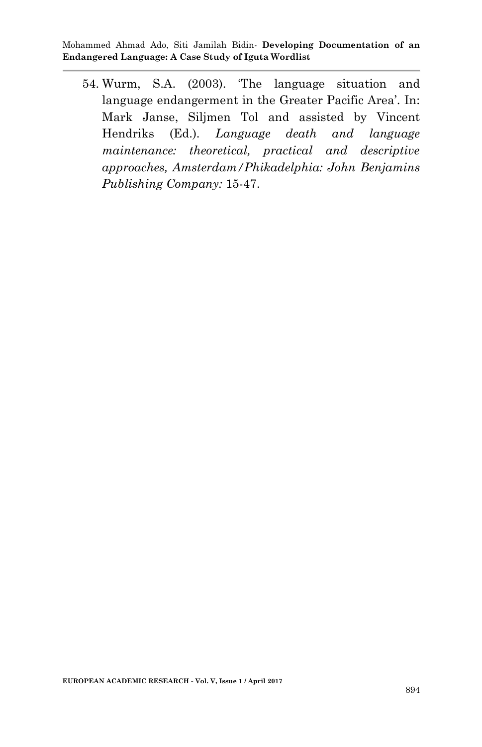54. Wurm, S.A. (2003). ‗The language situation and language endangerment in the Greater Pacific Area'. In: Mark Janse, Siljmen Tol and assisted by Vincent Hendriks (Ed.). *Language death and language maintenance: theoretical, practical and descriptive approaches, Amsterdam/Phikadelphia: John Benjamins Publishing Company:* 15-47.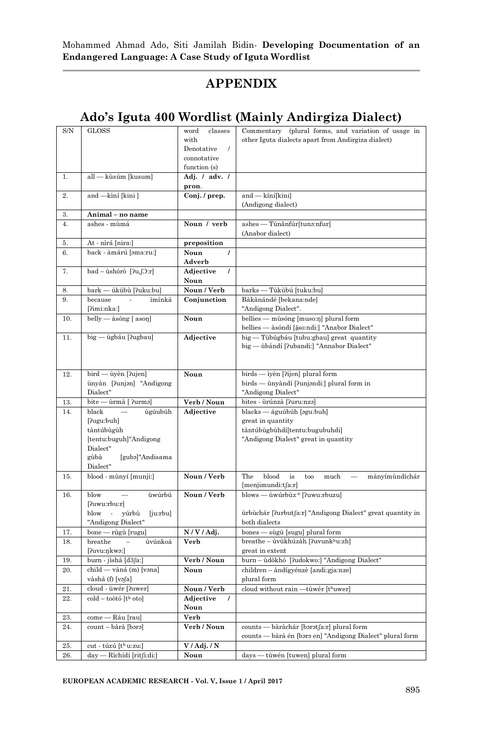## **APPENDIX**

## **Ado's Iguta 400 Wordlist (Mainly Andirgiza Dialect)**

| $\mathrm{S/N}$ | <b>GLOSS</b>                                                                                          | classes<br>word<br>with<br>Denotative<br>$\prime$<br>connotative | Commentary (plural forms, and variation of usage in<br>other Iguta dialects apart from Andirgiza dialect) |
|----------------|-------------------------------------------------------------------------------------------------------|------------------------------------------------------------------|-----------------------------------------------------------------------------------------------------------|
| 1.             | all - kùsúm [kusum]                                                                                   | function (s)<br>Adj. / adv. /                                    |                                                                                                           |
|                |                                                                                                       | pron.                                                            |                                                                                                           |
| 2.             | and -kìní [kini]                                                                                      | Conj. / prep.                                                    | and - kíní[kini]<br>(Andigong dialect)                                                                    |
| 3.             | Animal - no name                                                                                      |                                                                  |                                                                                                           |
| 4.             | ashes - mùmá                                                                                          | Noun / verb                                                      | ashes — Tùnānfúr[tuna:nfur]<br>(Anabor dialect)                                                           |
| 5.             | At - nìrá [nira:]                                                                                     | preposition                                                      |                                                                                                           |
| 6.             | back - àmárú [əma:ru:]                                                                                | Noun<br>Adverb                                                   |                                                                                                           |
| 7.             | bad - ùshôrò [ʔu,ʃɔːr]                                                                                | Adjective<br>$\prime$<br>Noun                                    |                                                                                                           |
| 8.             | bark — ùkûbù [?uku:bu]                                                                                | Noun / Verb                                                      | barks — Tùkùbú [tuku:bu]                                                                                  |
| 9.             | because<br>ìmínká                                                                                     | Conjunction                                                      | Bàkànándé [bekana:nde]                                                                                    |
|                | [?imi:nka:]                                                                                           |                                                                  | "Andigong Dialect".                                                                                       |
| 10.            | belly - àsóng [ason]                                                                                  | Noun                                                             | bellies - mùsóng [muso:n] plural form<br>bellies — àsóndí [ậso:ndi:] "Anabor Dialect"                     |
| 11.            | big — ùgbáu [?ugbau]                                                                                  | Adjective                                                        | big — Tùbúgbáu [tubu:gbau] great quantity<br>big — ùbándí [ʔubandi:] "Annabor Dialect"                    |
| 12.            | bird — ùyèn [?ujen]<br>ùnyàn [ʔunjən] "Andigong<br>Dialect"                                           | Noun                                                             | birds - iyèn [?ijen] plural form<br>birds — ùnyàndí [ʔunjəndi:] plural form in<br>"Andigong Dialect"      |
| 13.            | bite — ùrmà [ ?urma]                                                                                  | Verb / Noun                                                      | bites - ùrúnzà [ʔuruːnzə]                                                                                 |
| 14.            | black<br>ùgúubúh                                                                                      | Adjective                                                        | blacks — àguúbúh [agu:buh]                                                                                |
|                | [?ugu:buh]<br>tàntúbùgùh<br>[tentu:buguh]"Andigong<br>Dialect"<br>gùbà<br>[gubə]"Andisama<br>Dialect" |                                                                  | great in quantity<br>tàntúbùgbùhdí[tentu:bugubuhdi]<br>"Andigong Dialect" great in quantity               |
| 15.            | blood - mùnyí [munji:]                                                                                | Noun / Verb                                                      | The<br>blood<br>is<br>mànyímùndíchár<br>too<br>much<br>[menjimundi:tʃa:r]                                 |
| 16.            | blow<br>ùwúrbú<br>[?uwu:rbu:r]                                                                        | Noun / Verb                                                      | blows — ùwúrbùz <sup>·ù</sup> [?uwu:rbuzu]                                                                |
|                | blow<br>yúrbù<br>[juːrbu]<br>$\overline{\phantom{a}}$<br>"Andigong Dialect"                           |                                                                  | urbuchár [ʔurbutʃaːr] "Andigong Dialect" great quantity in<br>both dialects                               |
| 17.            | bone — rùgù [rugu]                                                                                    | N/V/Adj.                                                         | bones — sùgù [sugu] plural form                                                                           |
| 18.            | breathe<br>ùvúnkoà<br>[ʔuvuːŋkwəː]                                                                    | Verb                                                             | breathe - ùvùkhúzàh [?uvunkhu:zh]<br>great in extent                                                      |
| 19.            | burn - jìshá [d3ʃa:]                                                                                  | Verb / Noun                                                      | burn - ùdòkhó [?udokwo:] "Andigong Dialect"                                                               |
| 20.            | child — vàná (m) [vəna]<br>vàshá (f) [vəʃa]                                                           | Noun                                                             | children - àndígyénzè [andi:gja:nze]<br>plural form                                                       |
| 21.            | cloud - ùwér [?uwer]                                                                                  | Noun / Verb                                                      | cloud without rain - tùwér [thuwer]                                                                       |
| 22.            | $\text{cold} - \text{toòtó}$ $[th \text{oto}]$                                                        | Adjective<br>Noun                                                |                                                                                                           |
| 23.            | come — Ráu [rau]                                                                                      | Verb                                                             |                                                                                                           |
| 24.            | count – bàrà [bərə]                                                                                   | Verb / Noun                                                      | counts — bàràchár [bərətʃa:r] plural form<br>counts — bàrà én [bara en] "Andigong Dialect" plural form    |
| 25.            | cut - túzú [th u:zu:]                                                                                 | V / Adj. / N                                                     |                                                                                                           |
| 26.            | day — Rìchídí [ritʃi:di:]                                                                             | Noun                                                             | days - tùwén [tuwen] plural form                                                                          |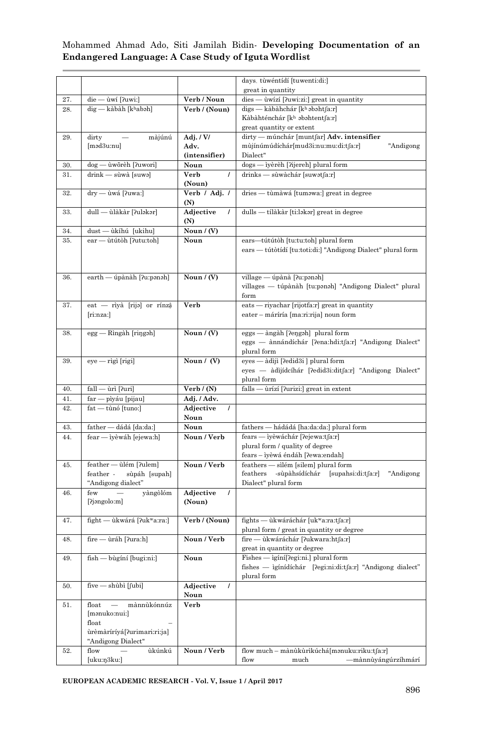|     |                                                  |                       | days. tùwéntídí [tuwenti:di:]                                                |  |  |  |
|-----|--------------------------------------------------|-----------------------|------------------------------------------------------------------------------|--|--|--|
|     |                                                  |                       | great in quantity                                                            |  |  |  |
| 27. | die — ùwí [ʔuwi:]                                | Verb / Noun           | dies — ùwízí [ʔuwiːziː] great in quantity                                    |  |  |  |
| 28. | $dig$ - kàbàh [khabəh]                           | Verb / (Noun)         | digs — kàbàhchár [kʰ əbəhtfa:r]                                              |  |  |  |
|     |                                                  |                       | Kàbàhténchár [kʰ əbəhtent∫a:r]                                               |  |  |  |
|     |                                                  |                       | great quantity or extent                                                     |  |  |  |
| 29. | dirty<br>màjúnú                                  | Adj. $/$ V $/$        | dirty — múnchár [muntfar] Adv. intensifier                                   |  |  |  |
|     | [məd3u:nu]                                       | Adv.                  | mùjínúmúdíchár[mud3i:nu:mu:di:tʃa:r]<br>"Andigong                            |  |  |  |
|     |                                                  | (intensifier)         | Dialect"                                                                     |  |  |  |
| 30. | dog — ùwõrèh [ʔuwori]                            | Noun                  | dogs — iyèrèh ['ijereh] plural form                                          |  |  |  |
| 31. | drink — sùwà [suwə]                              | Verb                  | drinks — sùwàchár [suwətʃa:r]                                                |  |  |  |
|     |                                                  | (Noun)                |                                                                              |  |  |  |
| 32. | dry - ùwá [?uwa:]                                | Verb / Adj. /         | dries — tùmàwá [tuməwa:] great in degree                                     |  |  |  |
|     |                                                  | (N)                   |                                                                              |  |  |  |
| 33. | dull — ùlàkàr [ʔuləkər]                          | Adjective             | dulls — tílàkàr [ti:ləkər] great in degree                                   |  |  |  |
|     |                                                  | (N)                   |                                                                              |  |  |  |
| 34. | dust — ùkíhú [ukihu]                             | Noun / (V)            |                                                                              |  |  |  |
| 35. | ear — ùtútòh [?utu:toh]                          | Noun                  | ears-tútútòh [tu:tu:toh] plural form                                         |  |  |  |
|     |                                                  |                       | ears — tútòtídí [tu:toti:di:] "Andigong Dialect" plural form                 |  |  |  |
|     |                                                  |                       |                                                                              |  |  |  |
|     |                                                  |                       |                                                                              |  |  |  |
| 36. | earth — úpànàh [ʔuːpənəh]                        | Noun $/(V)$           | village — úpànà [ʔuːpənəh]                                                   |  |  |  |
|     |                                                  |                       | villages — túpànàh [tu:panah] "Andigong Dialect" plural                      |  |  |  |
|     |                                                  |                       | form                                                                         |  |  |  |
| 37. | eat — rìyà [rija] or rínzậ                       | Verb                  | eats — riyachar [rijotfa:r] great in quantity                                |  |  |  |
|     | [ri:nza:]                                        |                       | eater - máríría [ma:ri:rija] noun form                                       |  |  |  |
|     |                                                  |                       |                                                                              |  |  |  |
| 38. | $\log g$ - Rìngàh [ringəh]                       | Noun / (V)            | eggs — àngàh [?eŋgəh] plural form                                            |  |  |  |
|     |                                                  |                       | eggs — ànnándíchár [ʔenaːhdiːtʃaːr] "Andigong Dialect"                       |  |  |  |
|     |                                                  |                       | plural form                                                                  |  |  |  |
| 39. | $eye - rigi$ [rigi]                              | Noun / (V)            | eyes — àdìjì ['ledid3i ] plural form                                         |  |  |  |
|     |                                                  |                       | eyes — àdìjídcíhár [?edid3i:ditfa:r] "Andigong Dialect"                      |  |  |  |
|     |                                                  |                       | plural form                                                                  |  |  |  |
| 40. | fall — ùrì [ʔuri]                                | Verb / (N)            | falls — ùrízí ['lurizi:] great in extent                                     |  |  |  |
| 41. | far — pìyáu [pijau]                              | Adj. / Adv.           |                                                                              |  |  |  |
| 42. | fat — tùnó [tuno:]                               | Adjective             |                                                                              |  |  |  |
|     |                                                  | Noun                  |                                                                              |  |  |  |
| 43. | father — dádá [da:da:]                           | Noun                  | fathers — hádádá [ha:da:da:] plural form                                     |  |  |  |
| 44. | fear - iyèwáh [ejewa:h]                          | Noun / Verb           | fears — iyèwáchár [?ejewa:tʃa:r]                                             |  |  |  |
|     |                                                  |                       | plural form / quality of degree                                              |  |  |  |
|     |                                                  |                       | fears – ìyèwá éndáh [?ewa:endah]                                             |  |  |  |
| 45. | feather - ùlém [?ulem]                           | Noun / Verb           | feathers — sìlém [silem] plural form                                         |  |  |  |
|     | sùpáh [supah]<br>feather -<br>"Andigong dialect" |                       | feathers -sùpàhsídíchár [supahsi:di:tʃa:r]<br>"Andigong"                     |  |  |  |
|     | few                                              | Adjective<br>$\prime$ | Dialect" plural form                                                         |  |  |  |
| 46. | yàngòlóm<br>[?jəngolo:m]                         | (Noun)                |                                                                              |  |  |  |
|     |                                                  |                       |                                                                              |  |  |  |
| 47. | fight — ùkwárá [?ukʷa:ra:]                       | Verb / (Noun)         | fights — ùkwáráchár [ukʷa:ra:tʃa:r]                                          |  |  |  |
|     |                                                  |                       | plural form / great in quantity or degree                                    |  |  |  |
| 48. | fire — ùráh [?ura:h]                             | Noun / Verb           | fire — ùkwáráchár [ʔukwara:htʃa:r]                                           |  |  |  |
|     |                                                  |                       | great in quantity or degree                                                  |  |  |  |
| 49. | fish — bùgíní [bugi:ni:]                         | Noun                  | Fishes - igíní[?egi:ni.] plural form                                         |  |  |  |
|     |                                                  |                       | $\operatorname{fishes}$ — ìgínídíchár ['legi:ni:di:tʃa:r] "Andigong dialect" |  |  |  |
|     |                                                  |                       | plural form                                                                  |  |  |  |
| 50. | five — shùbì [fubi]                              | Adjective             |                                                                              |  |  |  |
|     |                                                  | Noun                  |                                                                              |  |  |  |
| 51. | mànnùkónnúz<br>float<br>$\overline{\phantom{0}}$ | Verb                  |                                                                              |  |  |  |
|     | [mənuko:nui:]                                    |                       |                                                                              |  |  |  |
|     | float                                            |                       |                                                                              |  |  |  |
|     | ùrèmàríríyá[?urimari:ri:ja]                      |                       |                                                                              |  |  |  |
|     | "Andigong Dialect"                               |                       |                                                                              |  |  |  |
| 52. | ùkúnkú<br>flow                                   | Noun / Verb           | flow much - mànùkùrìkúchá[mənuku:riku:tʃa:r]                                 |  |  |  |
|     | [uku:ŋ3ku:]                                      |                       | —mànnùyángúrzíhmárí<br>flow<br>much                                          |  |  |  |

**EUROPEAN ACADEMIC RESEARCH - Vol. V, Issue 1 / April 2017**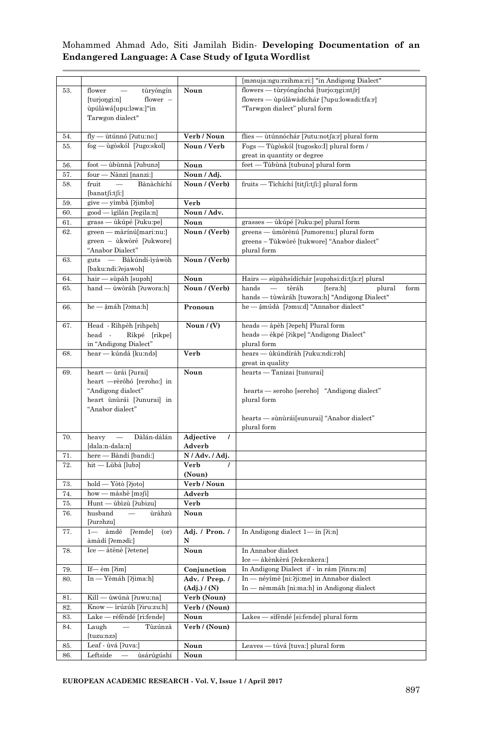|     |                                                      |                       | [manuja:ngu:rzihma:ri:] "in Andigong Dialect"                                                                             |
|-----|------------------------------------------------------|-----------------------|---------------------------------------------------------------------------------------------------------------------------|
| 53. | flower<br>tùryóngín                                  | Noun                  | flowers — tùryóngínchá [turjo:ŋgi:ntʃr]                                                                                   |
|     | [turning in]<br>flower $-$                           |                       | flowers — upúlawadíchár [?upu:lowadi:tfa:r]                                                                               |
|     | ùpúlàwá[upu:ləwa:]"in                                |                       | "Tarwgon dialect" plural form                                                                                             |
|     | Tarwgon dialect"                                     |                       |                                                                                                                           |
|     |                                                      |                       |                                                                                                                           |
| 54. | fly — ùtúnnó [ʔutu:no:]                              | Verb / Noun           | flies — ùtúnnóchár [?utu:notfa:r] plural form                                                                             |
| 55. | fog — ùgòskól [?ugo:skol]                            | Noun / Verb           | Fogs — Tùgòskól [tugosko: I] plural form /                                                                                |
|     |                                                      |                       | great in quantity or degree                                                                                               |
| 56. | foot — ùbùnnà [ʔubunə]                               | Noun                  | feet — Tùbùnà [tubuna] plural form                                                                                        |
| 57. | four — Nànzí [nanzi:]                                | Noun / Adj.           |                                                                                                                           |
| 58. | Bànàchíchí<br>fruit                                  | Noun / (Verb)         | fruits — Tichíchí [titʃi:tʃi:] plural form                                                                                |
|     | [banatfi:tfi!]                                       |                       |                                                                                                                           |
| 59. | give — yìmbà [ʔjimbə]                                | Verb                  |                                                                                                                           |
| 60. | good — igilán [?egila:n]                             | Noun / Adv.           |                                                                                                                           |
| 61. | grass — ùkúpé [?uku:pe]                              | Noun                  | grasses — ùkúpé [ʔuku:pe] plural form                                                                                     |
| 62. | green — màrínú[mari:nu:]                             | Noun / (Verb)         | greens — ùmòrènú [ʔumorenu:] plural form                                                                                  |
|     | green – ùkwòré [?ukwore]                             |                       | greens – Tùkwòré [tukwore] "Anabor dialect"                                                                               |
|     | "Anabor Dialect"                                     |                       | plural form                                                                                                               |
| 63. | guts — Bàkúndí-ìyàwòh                                | Noun / (Verb)         |                                                                                                                           |
|     | [baku:ndi:?ejawoh]                                   |                       |                                                                                                                           |
| 64. | hair — sùpàh [supəh]                                 | Noun                  | Hairs — sùpàhsídíchár [supahsi:di:tʃa:r] plural                                                                           |
| 65. | hand — ùwòráh [ʔuwora:h]                             | Noun / (Verb)         | hands<br>$\overline{\phantom{m}}$<br>tèráh<br>[tera:h]<br>form<br>plural<br>hands — tùwàráh [tuwara:h] "Andigong Dialect" |
| 66. | he — ậmáh [?əma:h]                                   | Pronoun               | he - âmúdà [ʔəmu:d] "Annabor dialect"                                                                                     |
|     |                                                      |                       |                                                                                                                           |
| 67. | Head - Rìhpèh [rihpeh]                               | Noun $/(V)$           | heads — àpèh [?epeh] Plural form                                                                                          |
|     | head -<br>Rikpé [rikpe]                              |                       | heads — èkpé [?ikpe] "Andigong Dialect"                                                                                   |
|     | in "Andigong Dialect"                                |                       | plural form                                                                                                               |
| 68. | hear — kúndà [kuːndə]                                | Verb                  | hears — ùkúndíràh [ʔuku:ndi:rəh]                                                                                          |
|     |                                                      |                       | great in quality                                                                                                          |
| 69. | heart — ùrái [?urai]                                 | Noun                  | hearts — Tanizai [tunurai]                                                                                                |
|     | heart —rèróhó [reroho:] in                           |                       |                                                                                                                           |
|     | "Andigong dialect"                                   |                       | hearts — seroho [sereho] "Andigong dialect"                                                                               |
|     | heart ùnùrái [?unurai] in                            |                       | plural form                                                                                                               |
|     | "Anabor dialect"                                     |                       |                                                                                                                           |
|     |                                                      |                       | hearts — sùnùrái[sunurai] "Anabor dialect"                                                                                |
|     |                                                      |                       | plural form                                                                                                               |
| 70. | Dàlán-dàlán<br>$heavy -$                             | Adjective<br>$\prime$ |                                                                                                                           |
|     | [dala:n-dala:n]                                      | Adverb                |                                                                                                                           |
| 71. | here — Bàndí [bandi:]                                | N / Adv. / Adj.       |                                                                                                                           |
| 72. | hit — Lùbà [lubə]                                    | Verb<br>(Noun)        |                                                                                                                           |
| 73. | hold — Yòtò [?joto]                                  | Verb / Noun           |                                                                                                                           |
| 74. | how — màshè [məʃi]                                   | Adverb                |                                                                                                                           |
| 75. | Hunt — ùbìzù [?ubizu]                                | Verb                  |                                                                                                                           |
| 76. | husband<br>ùràhzù<br>$\hspace{0.1mm}-\hspace{0.1mm}$ | Noun                  |                                                                                                                           |
|     | [ʔurəhzu]                                            |                       |                                                                                                                           |
| 77. | 1— àmdé [?emde]<br>(or)                              | Adj. / Pron. /        | In Andigong dialect $1$ — in [ $\lim$ ]                                                                                   |
|     | àmàdí [ʔemədi:]                                      | N                     |                                                                                                                           |
| 78. | Ice — àtènè [?etene]                                 | Noun                  | In Annabor dialect                                                                                                        |
|     |                                                      |                       | Ice — àkènkèrá [?ekenkera:]                                                                                               |
| 79. | If— èm $[2im]$                                       | Conjunction           | In Andigong Dialect if - in rám [?inra:m]                                                                                 |
| 80. | In - Yèmáh [?jima:h]                                 | Adv. / Prep. /        | In — néyímè [ni:?ji:me] in Annabor dialect                                                                                |
|     |                                                      | (Adj.) / (N)          | In — nèmmáh [ni:ma:h] in Andigong dialect                                                                                 |
| 81. | — ùwúnà [ʔuwuːna]<br>Kill –                          | Verb (Noun)           |                                                                                                                           |
| 82. | Know — ìrúzúh [?iru:zu:h]                            | Verb / (Noun)         |                                                                                                                           |
| 83. | Lake — réfèndé [ri:fende]                            | Noun                  | Lakes — sífèndé [si:fende] plural form                                                                                    |
| 84. | Laugh<br>Tùzúnzà<br>$\overline{\phantom{0}}$         | Verb / (Noun)         |                                                                                                                           |
|     | [tuzu:nzə]                                           |                       |                                                                                                                           |
| 85. | Leaf - ùvá [?uva:]                                   | Noun                  | Leaves — tùvá [tuva:] plural form                                                                                         |
| 86. | $Leftside -$<br>ùsárúgúshí                           | Noun                  |                                                                                                                           |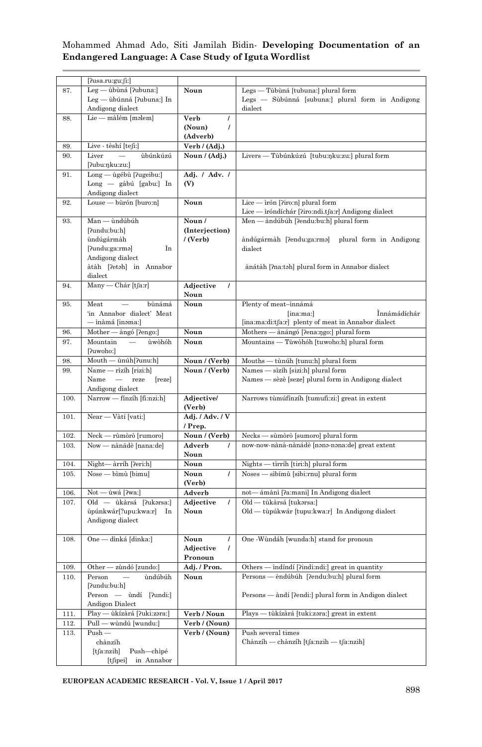|      | [?usa.ru:gu:ʃi:]                              |                       |                                                        |
|------|-----------------------------------------------|-----------------------|--------------------------------------------------------|
| 87.  | Leg — ùbùná [ʔubuna:]                         | Noun                  | Legs — Tùbùná [tubuna:] plural form                    |
|      | Leg — ùbúnná [ʔubuna:] In                     |                       | Legs — Sùbúnná [subuna:] plural form in Andigong       |
|      | Andigong dialect                              |                       | dialect                                                |
| 88.  | Lie — màlém [məlem]                           | Verb<br>1             |                                                        |
|      |                                               | 7<br>(Noun)           |                                                        |
|      |                                               | (Adverb)              |                                                        |
|      |                                               |                       |                                                        |
| 89.  | Live - tèshí [teʃi:]                          | Verb / (Adj.)         |                                                        |
| 90.  | Liver<br>ùbúnkúzú                             | Noun / (Adj.)         | Livers — Tùbúnkúzú [tubu:ŋku:zu:] plural form          |
|      | [?ubu:ŋku:zu:]                                |                       |                                                        |
| 91.  | Long — ùgébù [?ugeibu:]                       | Adj. / Adv. /         |                                                        |
|      | Long — gàbú [gabu:] In                        | (V)                   |                                                        |
|      | Andigong dialect                              |                       |                                                        |
| 92.  | Louse — bùrón [buro:n]                        | Noun                  | Lice $-$ irón [?iro:n] plural form                     |
|      |                                               |                       | Lice — iróndíchár [?iro:ndi.tʃa:r] Andigong dialect    |
| 93.  | Man - ùndúbúh                                 | Noun /                | Men - àndúbúh ['endu:bu:h] plural form                 |
|      | [?undu:bu:h]                                  | (Interjection)        |                                                        |
|      | ùndúgármàh                                    | /(Verb)               | àndúgármàh [ʔenduːgaːrmə] plural form in Andigong      |
|      |                                               |                       |                                                        |
|      | In<br>[ʔundu:ga:rmə]                          |                       | dialect                                                |
|      | Andigong dialect                              |                       |                                                        |
|      | àtàh [?etəh] in Annabor                       |                       | ànátàh [?na:təh] plural form in Annabor dialect        |
|      | dialect                                       |                       |                                                        |
| 94.  | Many — Chár [tʃaːr]                           | Adjective<br>$\prime$ |                                                        |
|      |                                               | Noun                  |                                                        |
| 95.  | Meat<br>bùnámá                                | Noun                  | Plenty of meat-innámá                                  |
|      | 'in Annabor dialect' Meat                     |                       | İnnámádíchár<br>[ina:ma:]                              |
|      | — ìnàmá [inəma:]                              |                       | [ina:ma:di:tʃa:r] plenty of meat in Annabor dialect    |
| 96.  | Mother — àngó [?engo:]                        | Noun                  | Mothers — ànángó [ʔenaːŋgoː] plural form               |
| 97.  | ùwòhóh<br>Mountain                            | Noun                  | Mountains — Tùwòhóh [tuwoho:h] plural form             |
|      | [?uwoho:]                                     |                       |                                                        |
| 98.  | Mouth — ùnúh[ʔunu:h]                          | Noun / (Verb)         | Mouths — tùnúh [tunu:h] plural form                    |
| 99.  | Name - rìzíh [rizi:h]                         | Noun / (Verb)         | Names - sìzíh [sizi:h] plural form                     |
|      | Name —<br>reze<br>[reze]                      |                       | Names — sèzè [seze] plural form in Andigong dialect    |
|      |                                               |                       |                                                        |
|      | Andigong dialect                              |                       |                                                        |
| 100. | Narrow — fínzíh [fi:nzi:h]                    | Adjective/            | Narrows tùmúfínzíh [tumufi:zi:] great in extent        |
|      |                                               | (Verb)                |                                                        |
| 101. | Near — Vàtí [vati:]                           | Adj. / Adv. / V       |                                                        |
|      |                                               | / Prep.               |                                                        |
| 102. | Neck — rùmòrò [rumoro]                        | Noun / (Verb)         | Necks — sùmòrò [sumoro] plural form                    |
| 103. | Now — nànádè [nana:de]                        | Adverb<br>I           | now-now-nànà-nànádè [nənə-nəna:de] great extent        |
|      |                                               | Noun                  |                                                        |
| 104. | Night-àrríh [?eri:h]                          | Noun                  | Nights — tìrríh [tiri:h] plural form                   |
| 105. | Nose — bìmù [bimu]                            | Noun<br>Ι             | Noses — sìbímù [sibi:rnu] plural form                  |
|      |                                               | (Verb)                |                                                        |
| 106. | Not — ùwá [ʔwa:]                              | Adverb                | not— ámànì [ʔaːmani] In Andigong dialect               |
| 107. | Old — ùkàrsá [?ukərsa:]                       | Adjective<br>7        | Old — tùkàrsá [tukərsa:]                               |
|      | ùpúnkwár[?upu:kwa:r]<br>In                    | Noun                  | Old — tùpúkwár [tupu:kwa:r] In Andigong dialect        |
|      | Andigong dialect                              |                       |                                                        |
|      |                                               |                       |                                                        |
| 108. | One — dìnká [dinka:]                          | Noun<br>$\prime$      | One - Wùndáh [wunda:h] stand for pronoun               |
|      |                                               | Adjective<br>Ι        |                                                        |
|      |                                               | Pronoun               |                                                        |
|      |                                               |                       |                                                        |
| 109. | Other — zùndó [zundo:]                        | Adj. / Pron.          | Others — indindi [ʔɪndɪːndɪː] great ın quantıty        |
| 110. | Person<br>ùndúbúh<br>$\overline{\phantom{a}}$ | Noun                  | Persons — èndúbúh [?endu:bu:h] plural form             |
|      | [?undu:bu:h]                                  |                       |                                                        |
|      | Person — ùndí [?undi:]                        |                       | Persons — àndí [?endi:] plural form in Andigon dialect |
|      | Andigon Dialect                               |                       |                                                        |
| 111. | Play — ùkízàrá [?uki:zəra:]                   | Verb / Noun           | tùkízàrá [tuki:zəra:] great in extent<br>$Plavs -$     |
| 112. | Pull — wùndú [wundu:]                         | Verb / (Noun)         |                                                        |
| 113. | $Push$ —                                      | Verb / (Noun)         | Push several times                                     |
|      | chànzíh                                       |                       | Chànzíh - chànzíh [tʃa:nzih - tʃa:nzih]                |
|      | Push-chìpé<br>[tʃa:nzih]                      |                       |                                                        |
|      | in Annabor<br>[tʃipei]                        |                       |                                                        |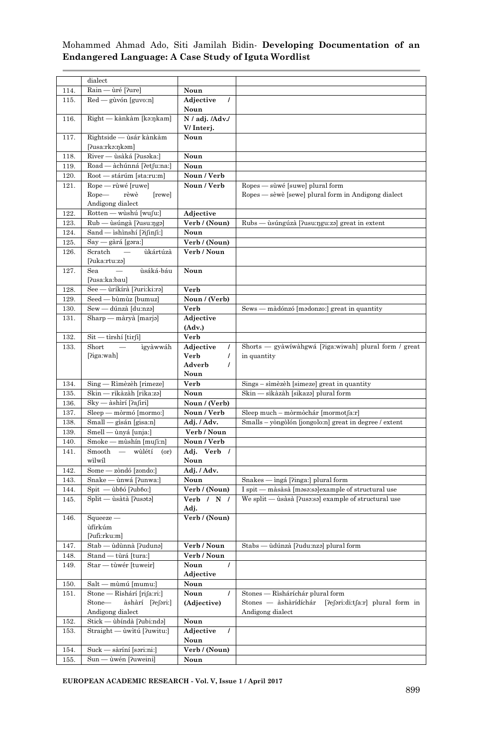|      | dialect                                    |                       |                                                        |
|------|--------------------------------------------|-----------------------|--------------------------------------------------------|
| 114. | Rain — ùré [ʔure]                          | Noun                  |                                                        |
| 115. | Red - gùvón [guvo:n]                       | Adjective<br>$\prime$ |                                                        |
|      |                                            | Noun                  |                                                        |
| 116. | Right — kànkàm [kəːŋkam]                   | N / adj. /Adv./       |                                                        |
|      |                                            | V/Interj.             |                                                        |
| 117. | Rightside — ùsár kànkàm                    | Noun                  |                                                        |
|      | [ʔusaːrkəːnkəm]                            |                       |                                                        |
| 118. | River — ùsàká [?usəka:]                    | Noun                  |                                                        |
|      |                                            |                       |                                                        |
| 119. | Road - àchúnná [?etfu:na:]                 | Noun                  |                                                        |
| 120. | Root - stárúm [sta:ru:m]                   | Noun / Verb           |                                                        |
| 121. | Rope — rùwé [ruwe]                         | Noun / Verb           | Ropes — sùwé [suwe] plural form                        |
|      | Rope— rèwè<br>[rewe]                       |                       | Ropes — sèwè [sewe] plural form in Andigong dialect    |
|      | Andigong dialect                           |                       |                                                        |
| 122. | Rotten — wùshú [wufu:]                     | Adjective             |                                                        |
| 123. | Rub — ùsúngà [?usu:ŋgə]                    | Verb / (Noun)         | Rubs — usúngúza [ʔusuːŋguːzə] great in extent          |
| 124. | Sand - ishinshí [ʔiʃinʃi:]                 | Noun                  |                                                        |
|      |                                            |                       |                                                        |
| 125. | Say — gàrá [gəra:]                         | Verb / (Noun)         |                                                        |
| 126. | Scratch —<br>ùkártúzà                      | Verb / Noun           |                                                        |
|      | [?uka:rtu:zə]                              |                       |                                                        |
| 127. | Sea —<br>ùsáká-báu                         | Noun                  |                                                        |
|      | [ˈʔusaːkaːbau]                             |                       |                                                        |
| 128. | See — ùríkírà [?uri:ki:ra]                 | Verb                  |                                                        |
| 129. | Seed - bùmùz [bumuz]                       | Noun / (Verb)         |                                                        |
| 130. | Sew — dúnzà [du:nzə]                       | Verb                  | Sews — màdónzó [mədonzo:] great in quantity            |
|      |                                            |                       |                                                        |
| 131. | Sharp — màryà [marjə]                      | Adjective             |                                                        |
|      |                                            | (Adv.)                |                                                        |
| 132. | Sit — tìrshí [tirʃi]                       | Verb                  |                                                        |
| 133. | Short<br>ìgyàwwáh                          | Adjective<br>$\prime$ | Shorts — gyàwíwàhgwá [ʔiga:wiwah] plural form / great  |
|      | [?iga:wah]                                 | Verb<br>$\prime$      | in quantity                                            |
|      |                                            | Adverb<br>$\prime$    |                                                        |
|      |                                            | Noun                  |                                                        |
| 134. | Sing — Rìmèzèh [rimeze]                    | Verb                  | Sings - sìmèzèh [simeze] great in quantity             |
| 135. | Skin — rìkàzàh [rika:zə]                   | Noun                  | Skin — sìkàzàh [sikazə] plural form                    |
| 136. | Sky - àshìrí [?afiri]                      | Noun / (Verb)         |                                                        |
|      |                                            |                       |                                                        |
| 137. | Sleep — mòrmó [mormo:]                     | Noun / Verb           | Sleep much – mòrmòchár [mormotʃa:r]                    |
| 138. | Small — gìsán [gisa:n]                     | Adj. / Adv.           | Smalls - yòngòlón [jongolo:n] great in degree / extent |
| 139. | Smell - ùnyá [unja:]                       | Verb / Noun           |                                                        |
| 140. | Smoke — mùshín [muʃi:n]                    | Noun / Verb           |                                                        |
| 141. | Smooth — wùlétí (or)                       | Adj. Verb /           |                                                        |
|      | wìlwíl                                     | Noun                  |                                                        |
| 142. | Some - zòndó [zondo:]                      | Adj. / Adv.           |                                                        |
| 143. | Snake — ùnwá [ʔunwa:]                      | Noun                  | Snakes — ingá ['inga:] plural form                     |
| 144. | $Spit$ $-\hat{u}b\hat{b}$ $[?ub\hat{b}o!]$ | Verb / (Noun)         | I spit — màsàsà [məsə:sə]example of structural use     |
|      |                                            |                       |                                                        |
| 145. | Split — ùsàtà [ʔusətə]                     | Verb / N /            | We split — usasa [?usa:sa] example of structural use   |
|      |                                            | Adj.                  |                                                        |
| 146. | $Squeeze$ —                                | Verb / (Noun)         |                                                        |
|      | ùfírkúm                                    |                       |                                                        |
|      | [?ufi:rku:m]                               |                       |                                                        |
| 147. | Stab — ùdùnnà [ʔudunə]                     | Verb / Noun           | Stabs — ùdúnzà [ʔudu:nzə] plural form                  |
| 148. | Stand — tùrá [tura:]                       | Verb / Noun           |                                                        |
| 149. | Star - tùwér [tuweir]                      | Noun                  |                                                        |
|      |                                            | Adjective             |                                                        |
| 150. | Salt — mùmú [mumu:]                        | Noun                  |                                                        |
| 151. | Stone — Rìshárí [riʃa:ri:]                 | Noun                  | Stones — Rìsháríchár plural form                       |
|      | Stone-                                     |                       | Stones — àshàrídíchár                                  |
|      | àshàrí [ʔeʃəriː]                           | (Adjective)           | [ʔeʃəri:di:tʃa:r] plural form in                       |
|      | Andigong dialect                           |                       | Andigong dialect                                       |
| 152. | Stick — ùbíndà [?ubi:nda]                  | Noun                  |                                                        |
| 153. | Straight - ùwìtú [?uwitu:]                 | Adjective<br>7        |                                                        |
|      |                                            | Noun                  |                                                        |
| 154. | Suck — sàríní [səri:ni:]                   | Verb / (Noun)         |                                                        |
|      |                                            | Noun                  |                                                        |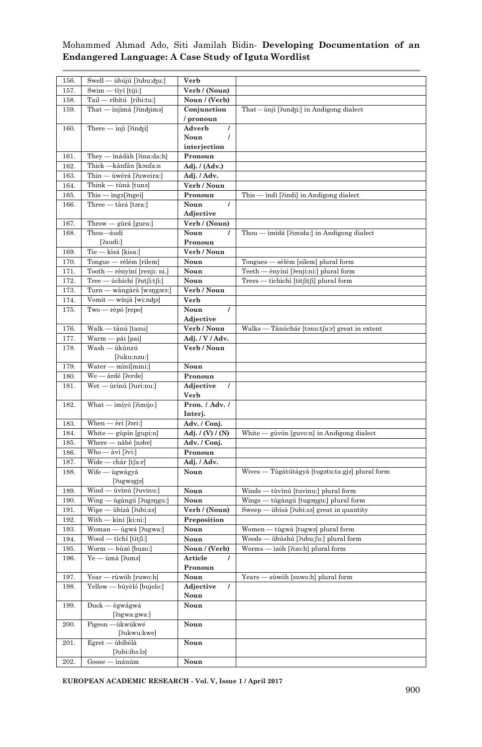| 156. | Swell — ùbújú [?ubu:dʒu:]                            | Verb                  |                                                   |
|------|------------------------------------------------------|-----------------------|---------------------------------------------------|
| 157. | Swim - tìyí [tiji:]                                  | Verb / (Noun)         |                                                   |
| 158. | Tail - rìbítú [ribi:tu:]                             | Noun / (Verb)         |                                                   |
| 159. | That $-\infty$ injimà [ $\lim_{\alpha}$              | Conjunction           | That - ùnjí [ʔundʒiː] in Andigong dialect         |
|      |                                                      | / pronoun             |                                                   |
| 160. | There — injì [?indʒi]                                | Adverb<br>$\prime$    |                                                   |
|      |                                                      |                       |                                                   |
|      |                                                      | Noun<br>I             |                                                   |
|      |                                                      | interjection          |                                                   |
| 161. | They - inádàh [?ina:da:h]                            | Pronoun               |                                                   |
| 162. | Thick -kànfán [kənfa:n                               | Adj. / (Adv.)         |                                                   |
| 163. | Thin - ùwérá [?uweira:]                              | Adj. / Adv.           |                                                   |
| 164. | Think — tùnà [tunə]                                  | Verb / Noun           |                                                   |
| 165. | $\overline{\text{This}} - \text{inga}[\text{?ngei}]$ | Pronoun               | This — indi [?indi] in Andigong dialect           |
| 166. | Three — tàrá [təra:]                                 | Noun<br>$\prime$      |                                                   |
|      |                                                      | Adjective             |                                                   |
| 167. | Throw — gùrá [gura:]                                 | Verb / (Noun)         |                                                   |
| 168. | Thou-àudí                                            | Noun                  | Thou — imidá [?imida:] in Andigong dialect        |
|      |                                                      |                       |                                                   |
|      | [?audi:]                                             | Pronoun               |                                                   |
| 169. | Tie — kìsá [kisa:]                                   | Verb / Noun           |                                                   |
| 170. | Tongue — rèlém [rilem]                               | Noun                  | Tongues — sèlém [silem] plural form               |
| 171. | Tooth — rènyìní [renji: ni.]                         | Noun                  | Teeth — ènyíní [?enji:ni:] plural form            |
| 172. | Tree — ùchíchí [?utfi:tfi:]                          | Noun                  | Trees — tìchìchì [titʃitʃi] plural form           |
| 173. | Turn — wàngàrà [waŋgara:]                            | Verb / Noun           |                                                   |
| 174. | Vomit — wínjà [wi:ndʒə]                              | Verb                  |                                                   |
| 175. | Two — rèpó [repo]                                    | Noun                  |                                                   |
|      |                                                      | Adjective             |                                                   |
| 176. | Walk - tànú [tanu]                                   | Verb / Noun           | Walks — Tànúchár [tənu:tʃa:r] great in extent     |
| 177. | Warm — pái [pai]                                     | Adj. / V / Adv.       |                                                   |
|      | Wash — ùkúnzú                                        | Verb / Noun           |                                                   |
| 178. |                                                      |                       |                                                   |
|      | [?uku:nzu:]                                          |                       |                                                   |
| 179. | Water - mìní[mini:]                                  | Noun                  |                                                   |
| 180. | We - àrdé [?erde]                                    | Pronoun               |                                                   |
| 181. | Wet — ùrínú [?uri:nu:]                               | Adjective<br>$\prime$ |                                                   |
|      |                                                      | Verb                  |                                                   |
| 182. | What — imiyó [?imijo:]                               | Pron. / Adv. /        |                                                   |
|      |                                                      | Interj.               |                                                   |
| 183. | When - èrí [?ari:]                                   | Adv. / Conj.          |                                                   |
| 184. | White — gùpín [gupi:n]                               | Adj. $/(V) / (N)$     | White — gùvón [guvo:n] in Andigong dialect        |
| 185. | Where — nàbè [nəbe]                                  | Adv. / Conj.          |                                                   |
| 186. | Who - àví [?vi:]                                     | Pronoun               |                                                   |
| 187. | Wide — chár [tʃaːr]                                  | Adj. / Adv.           |                                                   |
| 188. | Wife — ùgwàgyà                                       | Noun                  | Wives — Tùgàtútágyà [tugətu:ta:gjə] plural form   |
|      | [?ugwəgjə]                                           |                       |                                                   |
|      | Wind — ùvìnú [?uvinu:]                               | Noun                  | Winds — tùvìnú [tuvinu:] plural form              |
| 189. |                                                      |                       | Wings — tùgàngú [tugangu:] plural form            |
| 190. | Wing — ùgàngú [?ugangu:]                             | Noun                  |                                                   |
| 191. | Wipe — ùbízà [ʔubi:zə]                               | Verb / (Noun)         | $S$ weep $-$<br>ùbísà [ʔubi:sə] great in quantity |
| 192. | With — kíní [kiːniː]                                 | Preposition           |                                                   |
| 193. | Woman — ùgwá [?ugwa:]                                | Noun                  | Women — tùgwà [tugwa] plural form                 |
| 194. | Wood — tìchí [titʃi:]                                | Noun                  | Woods — ùbúshú [?ubu:fu:] plural form             |
| 195. | Worm - bùzó [buzo:]                                  | Noun / (Verb)         | Worms — izóh ['rizo:h] plural form                |
| 196. | Ye — ùmà [ʔumə]                                      | Article<br>7          |                                                   |
|      |                                                      | Pronoun               |                                                   |
| 197. | Year — rùwóh [ruwo:h]                                | Noun                  | Years — sùwóh [suwo:h] plural form                |
| 198. | Yellow — bùyèló [bujelo:]                            | Adjective             |                                                   |
|      |                                                      | Noun                  |                                                   |
| 199. | Duck — ègwágwá                                       | Noun                  |                                                   |
|      | [?əgwa:gwa:]                                         |                       |                                                   |
| 200. | Pigeon-ùkwúkwé                                       | Noun                  |                                                   |
|      | [ʔukwuːkwe]                                          |                       |                                                   |
| 201. | Egret-<br>– ùbíbèlà                                  | Noun                  |                                                   |
|      |                                                      |                       |                                                   |
|      |                                                      |                       |                                                   |
| 202. | [?ubi:ibə:lə]<br>$Goose - inánúm$                    | Noun                  |                                                   |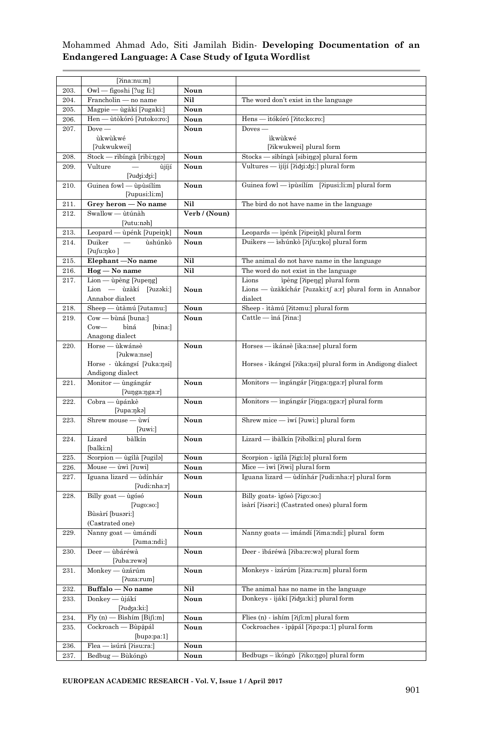|      | [?ina:nu:ml]                               |               |                                                             |
|------|--------------------------------------------|---------------|-------------------------------------------------------------|
| 203. | Owl — figoshi [?ug Ii:]                    | Noun          |                                                             |
|      |                                            |               |                                                             |
| 204. | Francholin - no name                       | Nil           | The word don't exist in the language                        |
| 205. | Magpie — ùgàkí [?ugaki:]                   | Noun          |                                                             |
| 206. | Hen — ùtòkóró [?utoko:ro:]                 | Noun          | Hens — ìtókóró [ʔito:ko:ro:]                                |
| 207. | $Dove -$                                   | Noun          | $Doves -$                                                   |
|      | ùkwùkwé                                    |               | ìkwùkwé                                                     |
|      | [?ukwukwei]                                |               | [?ikwukwei] plural form                                     |
| 208. | Stock — rìbíngà [ribi:ŋgə]                 | Noun          | Stocks — sìbíngà [sibinga] plural form                      |
| 209. | Vulture<br>ùjíjí<br>[?udʒi:dʒi:]           | Noun          | Vultures — ìjíjí [ʔidʒi:dʒi:] plural form                   |
| 210. | Guinea fowl - ùpùsílím<br>[?upusi:li:m]    | Noun          | Guinea fowl - ipùsílím [?ipusi:li:m] plural form            |
| 211. | Grey heron - No name                       | Nil           | The bird do not have name in the language                   |
| 212. | Swallow - ùtúnàh                           | Verb / (Noun) |                                                             |
|      | [ʔutuːnəh]                                 |               |                                                             |
| 213. | Leopard — ùpénk [?upeiŋk]                  | Noun          | Leopards — ìpénk [ʔipeiŋk] plural form                      |
| 214. | Duiker<br>ùshúnkò                          | Noun          | Duikers — ishúnkò [ʔiʃu:ŋko] plural form                    |
|      | [ʔuʃuːŋko ]                                |               |                                                             |
| 215. | Elephant-No name                           | Nil           | The animal do not have name in the language                 |
| 216. | Hog — No name                              | Nil           | The word do not exist in the language                       |
| 217. | Lion — ùpèng [?upeŋg]                      |               | Lions<br>ipèng [?ipeng] plural form                         |
|      | Lion — ùzàkí [?uzəki:]                     | Noun          | Lions — ùzàkíchár [ʔuzaki:tʃ a:r] plural form in Annabor    |
|      | Annabor dialect                            |               | dialect                                                     |
| 218. | Sheep - ùtàmú [?utamu:]                    | Noun          | Sheep - itàmú [?itəmu:] plural form                         |
| 219. | Cow - bùná [buna:]                         | Noun          | Cattle — iná [ʔina:]                                        |
|      | $_{\rm{Cow}\!\!-\!\!-}$<br>bìná<br>[bina:] |               |                                                             |
|      | Anagong dialect                            |               |                                                             |
| 220. | Horse — ùkwánsè<br>[?ukwa:nse]             | Noun          | Horses — ikánsè [ika:nse] plural form                       |
|      | Horse - ùkángsí [ʔukaːŋsi]                 |               | Horses - ikángsí [ʔikaːŋsi] plural form in Andigong dialect |
|      | Andigong dialect                           |               |                                                             |
| 221. | Monitor — ùngángár<br>$[20]$ lunga:nga:r   | Noun          | Monitors — ingángár [?iŋga:ŋga:r] plural form               |
| 222. | Cobra — ùpánkè<br>[ʔupaːŋkə]               | Noun          | Monitors — ingángár [?iŋga:ŋga:r] plural form               |
| 223. | Shrew mouse - ùwí<br>[2uwi!]               | Noun          | Shrew mice — iwí [?uwi:] plural form                        |
| 224. | Lizard<br>bàlkín<br>[balki:n]              | Noun          | Lizard — ibàlkín [?ibəlki:n] plural form                    |
| 225. | Scorpion — ùgílà [ʔugilə]                  | Noun          | Scorpion - ìgílà [ʔigi:lə] plural form                      |
| 226. | Mouse — ùwì [ʔuwi]                         | Noun          | $Mice - iwi$ [?iwi] plural form                             |
| 227. | Iguana lizard — ùdínhár                    | Noun          | Iguana lizard — ùdínhár [ʔudi:nha:r] plural form            |
|      | [ʔudiːnhaːr]                               |               |                                                             |
| 228. | Billy goat — ùgósó<br>[2ugo:so:]           | Noun          | Billy goats-igósò [?igo:so:]                                |
|      | Bùsàrí [busəri:]                           |               | isàrí [ʔisəriː] (Castrated ones) plural form                |
|      | (Castrated one)                            |               |                                                             |
| 229. | Nanny goat - ùmándí                        | Noun          | Nanny goats — imándí [?ima:ndi:] plural form                |
|      | [?uma:ndi:]                                |               |                                                             |
| 230. | Deer — ùbáréwà                             | Noun          | Deer - ibáréwà [?iba:re:wə] plural form                     |
|      | [?uba:rewə]                                |               |                                                             |
| 231. | Monkey — ùzárúm<br>[?uza:rum]              | Noun          | Monkeys - izárúm [?iza:ru:m] plural form                    |
| 232. | Buffalo - No name                          | Nil           | The animal has no name in the language                      |
| 233. | Donkey — ùjákí<br>[ʔuʤaːkiː]               | Noun          | Donkeys - ijákí ['idza:ki:] plural form                     |
| 234. | $Fly(n)$ - Bìshím [Bi[i:m]                 | Noun          | Flies (n) - ìshím [ʔiʃiːm] plural form                      |
| 235. | Cockroach — Bùpâpál<br>$[b$ upa: $pa:1]$   | Noun          | Cockroaches - ipậpál [?ipa:pa:1] plural form                |
| 236. | Flea — isúrá [?isu:ra:]                    | Noun          |                                                             |
| 237. | Bedbug — Bùkóngò                           | Noun          | Bedbugs - ikóngò [?iko:ŋgo] plural form                     |
|      |                                            |               |                                                             |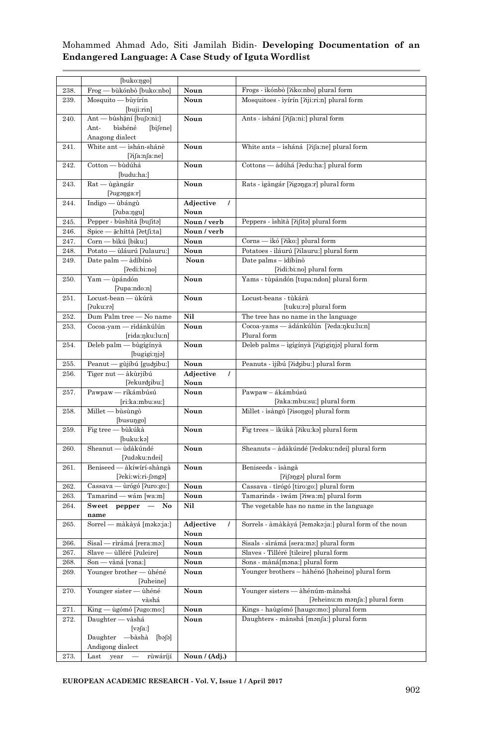|      | [buko:ŋgo]                                                  |                        |                                                                           |
|------|-------------------------------------------------------------|------------------------|---------------------------------------------------------------------------|
| 238. | Frog — bùkónbò [buko:nbo]                                   | Noun                   | Frogs - ikónbò [?iko:nbo] plural form                                     |
| 239. | Mosquito — bùyírín<br>[buji:rin]                            | Noun                   | Mosquitoes - iyírín [?iji:ri:n] plural form                               |
| 240. | Ant — bùshậní [buʃə:ni:]                                    | Noun                   | Ants - ishání [ʔifa:ni:] plural form                                      |
|      | Ant-<br>bìshéné<br>[bifene]                                 |                        |                                                                           |
|      | Anagong dialect                                             |                        |                                                                           |
| 241. | White ant - ìshán-shánè                                     | Noun                   | White ants - isháná [?ifa:ne] plural form                                 |
|      | [?i[a:n[a:ne]                                               |                        |                                                                           |
| 242. | Cotton — bùdúhá                                             | Noun                   | Cottons — àdúhá [?edu:ha:] plural form                                    |
|      | [budu:ha:]                                                  |                        |                                                                           |
| 243. | Rat — ùgàngár                                               | Noun                   | Rats - igàngár [ʔigənga:r] plural form                                    |
|      | $[2u)$ ganga: $r]$                                          |                        |                                                                           |
| 244. | Indigo — ùbángù                                             | Adjective<br>$\prime$  |                                                                           |
|      | [ʔubaːŋgu]                                                  | Noun                   |                                                                           |
| 245. | Pepper - bùshìtà [buʃita]                                   | Noun / verb            | Peppers - ishità [ʔiʃitə] plural form                                     |
| 246. | Spice — ậchíttà [ʔetʃi:ta]                                  | Noun / verb            |                                                                           |
| 247. | Corn — bìkú [biku:]                                         | Noun                   | Corns — ikó [?iko:] plural form                                           |
| 248. | Potato — ùláurú [?ulauru:]                                  | Noun                   | Potatoes - iláurú ['ilauru:] plural form                                  |
| 249. | Date palm — àdíbínò<br>[?edi:bi:no]                         | Noun                   | Date palms - idíbínò<br>[?idi:bi:no] plural form                          |
| 250. | Yam — ùpándón                                               | Noun                   | Yams - tùpándón [tupa:ndon] plural form                                   |
|      | $[2$ upa:ndo:n $]$                                          |                        |                                                                           |
| 251. | Locust-bean - ùkúrà                                         | Noun                   | Locust-beans - tùkárà                                                     |
|      | [?uku:rə]                                                   |                        | [tuku:rə] plural form                                                     |
| 252. | Dum Palm tree - No name                                     | Nil                    | The tree has no name in the language                                      |
| 253. | Cocoa-yam — rìdánkúlún                                      | Noun                   | Cocoa-yams — àdánkúlún [?eda:ŋku:lu:n]                                    |
|      | [rida:ŋku:lu:n]                                             |                        | Plural form                                                               |
| 254. | Deleb palm — bùgígínyà                                      | Noun                   | Deleb palms - igígínyà [ʔigiginjə] plural form                            |
|      | [bugigi:nja]                                                |                        |                                                                           |
| 255. | Peanut — gùjíbú [gudzibu:]                                  | Noun                   | Peanuts - ijíbú ['idʒibu:] plural form                                    |
| 256. | Tiger nut — àkùrjíbú                                        | Adjective<br>7<br>Noun |                                                                           |
| 257. | [ʔekurʤibuː]<br>Pawpaw — ríkámbúsú                          | Noun                   | Pawpaw - ákámbúsú                                                         |
|      | [ri:ka:mbu:su:]                                             |                        | [?aka:mbu:su:] plural form                                                |
| 258. | Millet — bùsùngò                                            | Noun                   | Millet - isàngò [ʔisongo] plural form                                     |
|      | [busungo]                                                   |                        |                                                                           |
| 259. | Fig tree — bùkúkà                                           | Noun                   | Fig trees -- ikúkà [ʔiku:kə] plural form                                  |
|      | [buku:kə]                                                   |                        |                                                                           |
| 260. | Sheanut - ùdàkúndé                                          | Noun                   | Sheanuts - àdàkúndé [ʔedəku:ndei] plural form                             |
|      | [?udəku:ndei]                                               |                        |                                                                           |
| 261. | Beniseed — àkíwírí-shàngà                                   | Noun                   | Beniseeds - isàngà                                                        |
|      | [ʔekiːwiːri-ʃəngə]                                          |                        | $[?i]$ əngə $]$ plural form                                               |
| 262. | Cassava — ùrógó [?uro:go:]                                  | Noun                   | Cassava - tìrógó [tiro:go:] plural form                                   |
| 263. | Tamarind — wám [wa:m]                                       | Noun                   | Tamarinds - ìwám [ʔiwaːm] plural form                                     |
| 264. | ${\bf Sweet}\quad {\bf pepper}\quad-\quad {\bf No}$<br>name | Nil                    | The vegetable has no name in the language                                 |
| 265. | Sorrel — màkàyá [məkə:ja:]                                  | Adjective<br>Ι         | Sorrels - àmàkàyá [ʔeməkə:ja:] plural form of the noun                    |
|      |                                                             | Noun                   |                                                                           |
| 266. | Sisal — rìrámá [rera:mə:]                                   | Noun                   | Sisals - sìrámá [sera:ma:] plural form                                    |
| 267. | Slave — ùlléré [?uleire]                                    | Noun                   | Slaves - Tilléré [tileire] plural form                                    |
| 268. | Son - vàná [vana:]                                          | Noun                   | Sons - màná[mana:] plural form                                            |
| 269. | Younger brother - ùhéné                                     | Noun                   | Younger brothers - hàhénó [haheino] plural form                           |
|      | [?uheine]                                                   |                        |                                                                           |
| 270. | Younger sister - ùhéné                                      | Noun                   | Younger sisters — àhénúm-mànshá                                           |
| 271. | vàshá<br>King — ùgómó [?ugo:mo:]                            | Noun                   | [?eheinu:m manfa:] plural form<br>Kings - haùgómó [haugo:mo:] plural form |
| 272. | Daughter — vàshá                                            | Noun                   | Daughters - mànshá [manfa:] plural form                                   |
|      | [vəʃa:]                                                     |                        |                                                                           |
|      | Daughter — bàshà [bəʃə]                                     |                        |                                                                           |
|      | Andigong dialect                                            |                        |                                                                           |
| 273. | Last year — rùwáríjí                                        | Noun $/$ (Adj.)        |                                                                           |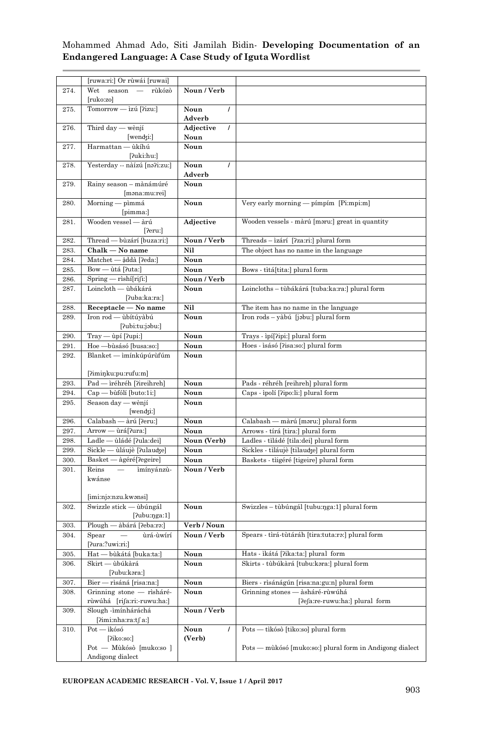|      | [ruwa:ri:] Or rùwái [ruwai]                     |                       |                                                          |  |  |
|------|-------------------------------------------------|-----------------------|----------------------------------------------------------|--|--|
| 274. | Wet season — rùkózò                             | Noun / Verb           |                                                          |  |  |
|      | [ruko:zo]                                       |                       |                                                          |  |  |
| 275. | Tomorrow - ìzú [?izu:]                          | $\prime$<br>Noun      |                                                          |  |  |
|      |                                                 | Adverb                |                                                          |  |  |
| 276. | Third day — wènjí                               | Adjective<br>$\prime$ |                                                          |  |  |
|      | wendzi: ]                                       | Noun                  |                                                          |  |  |
| 277. | Harmattan - ùkíhú                               | Noun                  |                                                          |  |  |
|      | [?uki:hu:]                                      |                       |                                                          |  |  |
| 278. | Yesterday -- nàízú [na?i:zu:]                   | Noun<br>$\prime$      |                                                          |  |  |
|      |                                                 | Adverb                |                                                          |  |  |
|      |                                                 |                       |                                                          |  |  |
| 279. | Rainy season - mànámúré                         | Noun                  |                                                          |  |  |
|      | [məna:mu:rei]                                   |                       |                                                          |  |  |
| 280. | Morning — pìmmá                                 | Noun                  | Very early morning - pímpím [Pi:mpi:m]                   |  |  |
|      | [pimma:]                                        |                       |                                                          |  |  |
| 281. | Wooden vessel - àrú                             | Adjective             | Wooden vessels - màrú [məru:] great in quantity          |  |  |
|      | [?eru:]                                         |                       |                                                          |  |  |
| 282. | Thread - bùzárí [buza:ri:]                      | Noun / Verb           | Threads - izárí [?za:ri:] plural form                    |  |  |
| 283. | Chalk — No name                                 | Nil                   | The object has no name in the language                   |  |  |
| 284. | Matchet — ậddà [ʔeda:]                          | Noun                  |                                                          |  |  |
| 285. | Bow — ùtá [ʔuta:]                               | Noun                  | Bows - tìtá[tita:] plural form                           |  |  |
| 286. | $Spring - rishí[rifi.]$                         | Noun / Verb           |                                                          |  |  |
| 287. | Loincloth — ùbákárá                             | Noun                  | Loincloths – tùbákárá [tuba:ka:ra:] plural form          |  |  |
|      | [?uba:ka:ra:]                                   |                       |                                                          |  |  |
| 288. | Receptacle - No name                            | Nil                   | The item has no name in the language                     |  |  |
| 289. | Iron rod — ùbítúyàbú                            | Noun                  | Iron rods – yàbú [jəbu:] plural form                     |  |  |
|      | [ʔubi:tu:jəbu:]                                 |                       |                                                          |  |  |
| 290. | Tray — ùpí [ʔupi:]                              | Noun                  | Trays - ipí[?ipi:] plural form                           |  |  |
| 291. | Hoe - bùsásó [busa:so:]                         | Noun                  | Hoes - isásó [?isa:so:] plural form                      |  |  |
| 292. | Blanket — imínkúpúrúfúm                         | Noun                  |                                                          |  |  |
|      |                                                 |                       |                                                          |  |  |
|      | [?imiŋku:pu:rufu:m]                             |                       |                                                          |  |  |
|      |                                                 |                       |                                                          |  |  |
| 293. | Pad - ìréhréh [?ireihreh]                       | Noun                  | Pads - réhréh [reihreh] plural form                      |  |  |
| 294. | Cap — bùfólí [buto:1i:]                         | Noun                  | Caps - ipolí [?ipo:li:] plural form                      |  |  |
| 295. | Season day — wènjí                              | Noun                  |                                                          |  |  |
|      | [wendʒi:]                                       |                       |                                                          |  |  |
| 296. | Calabash — àrú [?eru:]                          | Noun                  | Calabash — màrú [məru:] plural form                      |  |  |
| 297. | Arrow — ùrá[?ura:]                              | Noun                  | Arrows - tírá [tira:] plural form                        |  |  |
| 298. | Ladle — ùládé [?ula:dei]                        | Noun (Verb)           | Ladles - tìládé [tila:dei] plural form                   |  |  |
| 299. | Sickle - ùláujè [?ulaudʒe]                      | Noun                  | Sickles - tìláujè [tilaudʒe] plural form                 |  |  |
| 300. | Basket — àgéré[?egeire]                         | Noun                  | Baskets - tiigéré [tigeire] plural form                  |  |  |
| 301. | Reins<br>$\overline{\phantom{0}}$<br>ìmínyánzù- | Noun / Verb           |                                                          |  |  |
|      | kwánse                                          |                       |                                                          |  |  |
|      |                                                 |                       |                                                          |  |  |
|      | [imi:njə:nzu.kwənsi]                            |                       |                                                          |  |  |
| 302. | Swizzle stick - ùbúngál                         | Noun                  | Swizzles – tùbúngál [tubu:nga:1] plural form             |  |  |
|      | [?ubu:nga:1]                                    |                       |                                                          |  |  |
| 303. | Plough — àbárá [?eba:ra:]                       | Verb / Noun           |                                                          |  |  |
| 304. | $Spear$ $-$<br>ùrá-ùwírí                        | Noun / Verb           | Spears - tìrá-tùtáráh [tira:tuta:ra:] plural form        |  |  |
|      | [ʔura:?uwi:ri:]                                 |                       |                                                          |  |  |
| 305. | Hat — bùkátá [buka:ta:]                         | Noun                  | Hats - ìkátá [ʔikaːtaː] plural form                      |  |  |
| 306. | Skirt — ùbúkàrá                                 | Noun                  | Skirts - tùbúkàrá [tubu:kəra:] plural form               |  |  |
|      | [?ubu:kəra:]                                    |                       |                                                          |  |  |
| 307. | Bier — rìsáná [risa:na:]                        | Noun                  | Biers - rìsánágún [risa:na:gu:n] plural form             |  |  |
| 308. | Grinning stone — rìsháré-                       | Noun                  | Grinning stones — àsháré-rùwúhá                          |  |  |
|      | rùwúhá [riʃaːriː-ruwuːhaː]                      |                       | [?efa:re-ruwu:ha:] plural form                           |  |  |
| 309. | Slough -ìmínháráchá                             | Noun / Verb           |                                                          |  |  |
|      | [?imi:nha:ra:t∫ a:]                             |                       |                                                          |  |  |
| 310. | $Pot - ikósó$                                   | $\prime$              | Pots — tikósò [tiko:so] plural form                      |  |  |
|      |                                                 | Noun                  |                                                          |  |  |
|      | [?iko:so:]                                      | (Verb)                |                                                          |  |  |
|      | Pot — Mùkósò [muko:so ]                         |                       | Pots — mùkósó [muko:so:] plural form in Andigong dialect |  |  |
|      | Andigong dialect                                |                       |                                                          |  |  |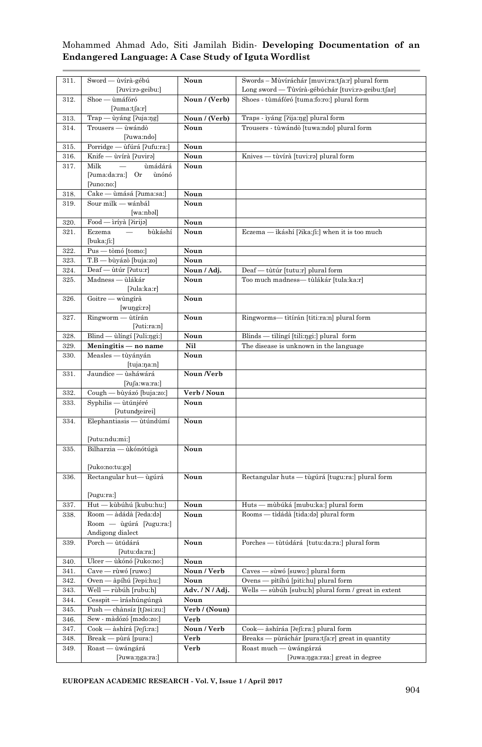| 311.         | Sword — ùvírà-gébú                          | Noun            | Swords – Mùvíráchár [muvi:ra:tfa:r] plural form         |
|--------------|---------------------------------------------|-----------------|---------------------------------------------------------|
|              | [ʔuviːrə-geibuː]                            |                 | Long sword — Tùvírà-gébúchár [tuvi:rə-geibu:tʃar]       |
| 312.         | Shoe — ùmáfóró                              | Noun / (Verb)   | Shoes - tùmáfóró [tuma:fo:ro:] plural form              |
|              | [2uma:tfa:r]                                |                 |                                                         |
| 313.         | Trap — ùyáng [ʔujaːŋg]                      | Noun / (Verb)   | Traps - iyáng [ʔija:ŋg] plural form                     |
| 314.         | Trousers — ùwándò                           | Noun            | Trousers - tùwándò [tuwa:ndo] plural form               |
|              | [ʔuwaːndo]                                  |                 |                                                         |
| 315.         | Porridge — ufúrá [?ufu:ra:]                 | Noun            |                                                         |
| 316.         | Knife — ùvírà [?uvirə]                      | Noun            | Knives — tùvírà [tuvi:rə] plural form                   |
| 317.         | ùmádárá<br>Milk<br>$\overline{\phantom{m}}$ | Noun            |                                                         |
|              | [ʔumaːdaːraː] Or<br>ùnónó                   |                 |                                                         |
|              | $[$ ?uno:no: $]$                            |                 |                                                         |
| 318.         | Cake — ùmásá [?uma:sa:]                     | Noun            |                                                         |
| 319.         | Sour milk - wánbál                          | Noun            |                                                         |
|              | [wa:nbəl]                                   |                 |                                                         |
| 320.         | Food — ìríyà [ʔirijə]                       | Noun            |                                                         |
| 321.         | Eczema<br>bùkáshí                           | Noun            | Eczema — ìkáshí [ʔika:ʃiː] when it is too much          |
|              | [buka:ʃi:]                                  |                 |                                                         |
| 322.         | Pus — tòmó [tomo:]                          | Noun            |                                                         |
| 323.         | T.B — bùyázò [buja:zo]                      | Noun            |                                                         |
| 324.         | Deaf — ùtúr [?utu:r]                        | Noun / Adj.     | Deaf — tùtúr [tutu:r] plural form                       |
| 325.         | Madness — ùlákár                            | Noun            | Too much madness— tùlákár [tula:ka:r]                   |
|              | [2ula:ka:r]                                 |                 |                                                         |
| 326.         | Goitre — wùngírà                            | Noun            |                                                         |
|              | [wuŋgi:rə]                                  |                 |                                                         |
| 327.         | Ringworm - ùtírán                           | Noun            | Ringworms— tìtírán [titi:ra:n] plural form              |
|              | [2ut:ra:n]                                  |                 |                                                         |
| 328.         | Blind — ùlíngí [?uli:ngi:]                  | Noun<br>Nil     | Blinds — tilíngí [tili:ngi:] plural form                |
| 329.<br>330. | Meningitis — no name<br>Measles — tùyányán  | Noun            | The disease is unknown in the language                  |
|              | [tuja:ŋa:n]                                 |                 |                                                         |
| 331.         | Jaundice - ùsháwárá                         | Noun /Verb      |                                                         |
|              | [2ufa:wa:ra:]                               |                 |                                                         |
| 332.         | Cough — bùyázó [buja:zo:]                   | Verb / Noun     |                                                         |
| 333.         | Syphilis — ùtúnjéré                         | Noun            |                                                         |
|              | [?utundgeirei]                              |                 |                                                         |
| 334.         | Elephantiasis — ùtúndúmí                    | Noun            |                                                         |
|              |                                             |                 |                                                         |
|              | [ʔutuːnduːmiː]                              |                 |                                                         |
| 335.         | Bilharzia — ùkónótúgà                       | Noun            |                                                         |
|              | [ʔukoːnoːtuːgə]                             |                 |                                                         |
| 336.         | Rectangular hut-ugúrá                       | Noun            | Rectangular huts — tùgúrá [tugu:ra:] plural form        |
|              |                                             |                 |                                                         |
|              | [ʔuguːraː]                                  |                 |                                                         |
| 337.         | Hut — kùbúhú [kubu:hu:]                     | Noun            | Huts — mùbúká [mubu:ka:] plural form                    |
| 338.         | Room — àdádà [ʔeda:də]                      | Noun            | Rooms — tìdádà [tida:də] plural form                    |
|              | Room — ùgúrá [?ugu:ra:]                     |                 |                                                         |
|              | Andigong dialect                            |                 |                                                         |
| 339.         | Porch - ùtúdárá                             | Noun            | Porches — tùtúdárá [tutu:da:ra:] plural form            |
|              | [?utu:da:ra:]                               |                 |                                                         |
| 340.         | Ulcer — ùkónó [ʔukoːnoː]                    | Noun            |                                                         |
| 341.         | Cave — rùwó [ruwo:]                         | Noun / Verb     | Caves — sùwó [suwo:] plural form                        |
| 342.         | Oven — àpíhú [?epi:hu:]                     | Noun            | - pìtíhú [piti:hu] plural form<br>Ovens -               |
| 343.         | Well — rùbúh [rubu:h]                       | Adv. / N / Adj. | sùbúh [subu:h] plural form / great in extent<br>Wells - |
| 344.         | Cesspit — iráshúngúngà                      | Noun            |                                                         |
| 345.         | Push -<br>- chànsíz [tʃəsi:zu:]             | Verb / (Noun)   |                                                         |
| 346.         | Sew - màdózó [mədo:zo:]                     | Verb            |                                                         |
| 347.         | - àshírá [?efi:ra:]<br>$\mathrm{Cook}$      | Noun / Verb     | Cook<br>àshíráa [ʔeʃi:ra:] plural form                  |
| 348.         | Break-<br>- pùrá [pura:]                    | Verb            | pùráchár [pura:tʃa:r] great in quantity<br>Breaks –     |
| 349.         | Roast — ùwángárá                            | Verb            | Roast much — ùwángárzá                                  |
|              | [?uwa:ŋga:ra:]                              |                 | [?uwa:ŋga:rza:] great in degree                         |

**EUROPEAN ACADEMIC RESEARCH - Vol. V, Issue 1 / April 2017**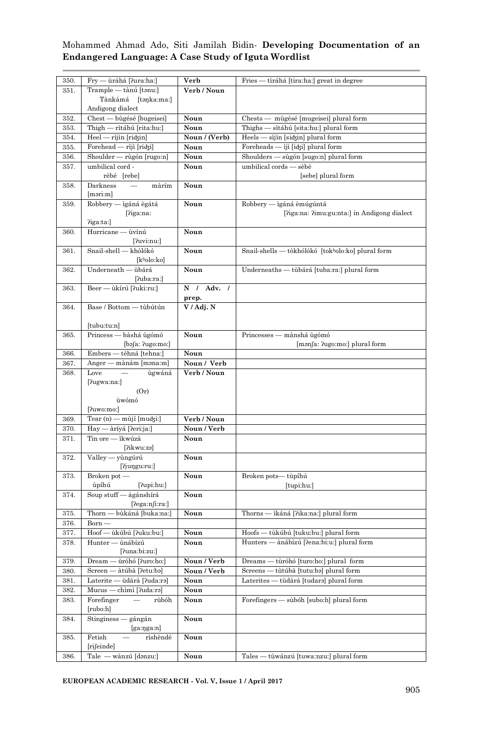| 350. | Fry — ùráhá [ʔura:ha:]                          | Verb          | Fries — tìráhá [tira:ha:] great in degree         |
|------|-------------------------------------------------|---------------|---------------------------------------------------|
| 351. | Trample — tànú [tənu:]                          | Verb / Noun   |                                                   |
|      | Tànkámá [təŋkaːmaː]                             |               |                                                   |
|      | Andigong dialect                                |               |                                                   |
|      |                                                 |               |                                                   |
| 352. | Chest — bùgésé [bugeisei]                       | Noun          | Chests — mùgésé [mugeisei] plural form            |
| 353. | Thigh — rìtáhú [rita:hu:]                       | Noun          | Thighs — sìtáhú [sita:hu:] plural form            |
| 354. | Heel — rìjìn [ridʒin]                           | Noun / (Verb) | Heels — sìjìn [sidʒin] plural form                |
| 355. | Forehead — rìjì [riʤi]                          | Noun          | Foreheads — ìjì [iʤi] plural form                 |
| 356. | Shoulder — rùgón [rugo:n]                       | Noun          | Shoulders — sùgón [sugo:n] plural form            |
| 357. | umbilical cord -                                | Noun          | umbilical cords — sèbé                            |
|      | rèbé [rebe]                                     |               | [sebe] plural form                                |
| 358. | Darkness<br>màrím                               | Noun          |                                                   |
|      | $[\text{məri:}\text{m}]$                        |               |                                                   |
|      |                                                 |               |                                                   |
| 359. | Robbery — ìgáná ègátá                           | Noun          | Robbery — igáná èmúgúntá                          |
|      | [?iga:na:                                       |               | [?iga:na: ?imu:gu:nta:] in Andigong dialect       |
|      | $\gamma$ iga: $tan$ :]                          |               |                                                   |
| 360. | Hurricane - ùvínú                               | Noun          |                                                   |
|      | [?uvi:nu:]                                      |               |                                                   |
| 361. | Snail-shell - khòlókó                           | Noun          | Snail-shells — tòkhólókó [tokholo:ko] plural form |
|      | [kʰolo:ko]                                      |               |                                                   |
| 362. | Underneath — ùbárá                              | Noun          | Underneaths — tùbárá [tuba:ra:] plural form       |
|      | [?uba:ra:]                                      |               |                                                   |
| 363. | Beer — ùkírú [?uki:ru:]                         | N / Adv. /    |                                                   |
|      |                                                 | prep.         |                                                   |
| 364. | Base / Bottom — tùbútún                         | V / Adj. N    |                                                   |
|      |                                                 |               |                                                   |
|      | [tubu:tu:n]                                     |               |                                                   |
| 365. | Princess — bàshá ùgómó                          | Noun          | Princesses — mànshá ùgómó                         |
|      | $[$ bə $[$ a: ?ugo:mo: $]$                      |               | [manfa: ?ugo:mo:] plural form                     |
| 366. | Embers — tèhná [tehna:]                         | Noun          |                                                   |
|      |                                                 |               |                                                   |
| 367. | Anger — mànám [mənaːm]                          | Noun / Verb   |                                                   |
| 368. | Love<br>$\sim$<br>ùgwáná                        | Verb / Noun   |                                                   |
|      | [?ugwa:na:]                                     |               |                                                   |
|      | (Or)                                            |               |                                                   |
|      | ùwómó                                           |               |                                                   |
|      | [ʔuwoːmoː]                                      |               |                                                   |
| 369. | Tear (n) — mùjí [muʤi:]                         | Verb / Noun   |                                                   |
| 370. | Hay — àríyá [ʔeriːjaː]                          | Noun / Verb   |                                                   |
| 371. | Tin ore — ìkwúzà                                | Noun          |                                                   |
|      | [ʔikwuːzə]                                      |               |                                                   |
| 372. | Valley — yùngúrú                                | Noun          |                                                   |
|      | [?juŋguːruː]                                    |               |                                                   |
| 373. | Broken pot-                                     | Noun          |                                                   |
|      |                                                 |               | Broken pots— tùpíhú                               |
|      | ùpíhú<br>[ʔupi:hu:]                             |               | [tupi:hu:]                                        |
| 374. | Soup stuff - àgánshírá                          | Noun          |                                                   |
|      | [2ega:njira!]                                   |               |                                                   |
|      |                                                 |               |                                                   |
| 375. | Thorn — bùkáná [buka:na:]                       | Noun          | Thorns — ikáná [?ika:na:] plural form             |
| 376. | Born —                                          |               |                                                   |
| 377. | Hoof — ùkúbú [ʔuku:bu:]                         | Noun          | Hoofs — tùkúbú [tuku:bu:] plural form             |
| 378. | Hunter — ùnábízú                                | Noun          | Hunters — ànábízú ['lena:bi:u:] plural form       |
|      | [ʔunaːbiːzuː]                                   |               |                                                   |
| 379. | Dream — ùróhó [?uro:ho:]                        | Noun / Verb   | Dreams - tùróhó [turo:ho:] plural form            |
| 380. | Screen — àtúbà [?etu:ba]                        | Noun / Verb   | Screens — tùtúbà [tutu:ba] plural form            |
| 381. | Laterite — ùdárà [?uda:ra]                      | Noun          | Laterites - tùdárà [tudara] plural form           |
| 382. | Mucus — chìmì [?uda:ra]                         | Noun          |                                                   |
| 383. | Forefinger<br>rùbóh<br>$\overline{\phantom{0}}$ | Noun          | Forefingers - sùbóh [subo:h] plural form          |
|      | [rubo:h]                                        |               |                                                   |
| 384. | Stinginess — gángán                             | Noun          |                                                   |
|      | $[$ ga:nga:n $]$                                |               |                                                   |
| 385. | Fetish<br>rìshèndé                              | Noun          |                                                   |
|      | [rifeinde]                                      |               |                                                   |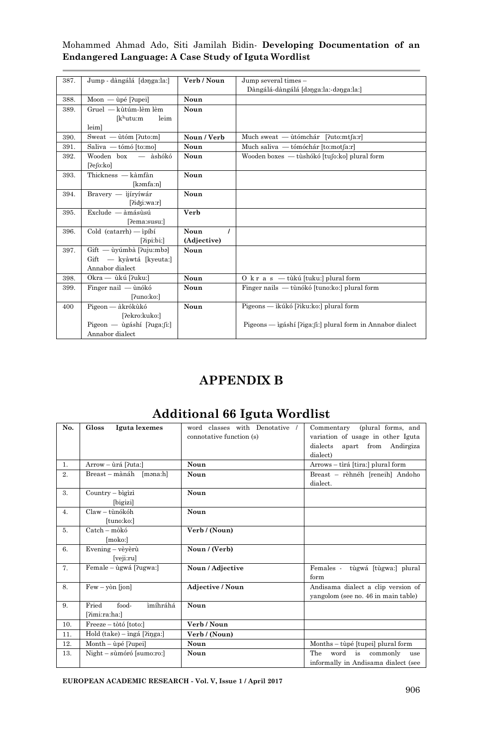|  |  |  |                                                     | Mohammed Ahmad Ado, Siti Jamilah Bidin- Developing Documentation of an |  |
|--|--|--|-----------------------------------------------------|------------------------------------------------------------------------|--|
|  |  |  | Endangered Language: A Case Study of Iguta Wordlist |                                                                        |  |

| 387. | Jump - dàngálá [dənga:la:]                | Verb / Noun      | Jump several times -                                       |
|------|-------------------------------------------|------------------|------------------------------------------------------------|
|      |                                           |                  | Dàngálá-dàngálá [dənga:la:-dənga:la:]                      |
|      |                                           |                  |                                                            |
| 388. | Moon — ùpé [?upei]                        | Noun             |                                                            |
| 389. | Gruel — kùtúm-lèm lèm                     | Noun             |                                                            |
|      | [k <sup>h</sup> utu:m]<br>leim            |                  |                                                            |
|      | leim]                                     |                  |                                                            |
| 390. | Sweat - ùtóm [?uto:m]                     | Noun / Verb      | Much sweat — utómchár [?uto:mt[a:r]                        |
| 391. | Saliva — tómó [to:mo]                     | Noun             | Much saliva — tómóchár [to:mot[a:r]                        |
| 392. | Wooden box — àshókó                       | Noun             | Wooden boxes — tùshókó [tufo:ko] plural form               |
|      | [?efo:ko]                                 |                  |                                                            |
| 393. | Thickness - kàmfàn                        | Noun             |                                                            |
|      | [kəmfa:n]                                 |                  |                                                            |
| 394. | Bravery — ijírvíwár                       | Noun             |                                                            |
|      | [?idxi:wa:r]                              |                  |                                                            |
| 395. | $Exclude - àmásùsú$                       | Verb             |                                                            |
|      | [?ema:susu:]                              |                  |                                                            |
| 396. | $\text{ Cold}$ (catarrh) $\text{Inipibi}$ | Noun<br>$\prime$ |                                                            |
|      | [2ipi:bi.]                                | (Adjective)      |                                                            |
| 397. | Gift — ùyúmbà [?uju:mbə]                  | Noun             |                                                            |
|      | Gift - kyàwtá [kyeuta:]                   |                  |                                                            |
|      | Annabor dialect                           |                  |                                                            |
| 398. | Okra — ùkú [?uku:]                        | Noun             | O k r a s - tùkú [tuku:] plural form                       |
| 399. | Finger nail — ùnókó                       | Noun             | Finger nails — tùnókó [tuno:ko:] plural form               |
|      | [?uno:ko:]                                |                  |                                                            |
| 400  | Pigeon — àkrókùkó                         | Noun             | Pigeons — ikúkó [?iku:ko:] plural form                     |
|      | [?ekro:kuko:]                             |                  |                                                            |
|      | Pigeon — ùgáshí [?uga:fi:]                |                  | Pigeons — ìgáshí [ʔiga:ʃiː] plural form in Annabor dialect |
|      | Annabor dialect                           |                  |                                                            |

## **APPENDIX B**

## **Additional 66 Iguta Wordlist**

| No.            | Gloss<br>Iguta lexemes        | word classes with Denotative /<br>connotative function (s) | Commentary (plural forms, and<br>variation of usage in other Iguta<br>dialects<br>apart from Andirgiza<br>dialect) |
|----------------|-------------------------------|------------------------------------------------------------|--------------------------------------------------------------------------------------------------------------------|
| 1.             | Arrow – ùrá [?uta:]           | Noun                                                       | Arrows - tìrá [tira:] plural form                                                                                  |
| 2.             | Breast-mànáh [məna:h]         | Noun                                                       | Breast - rèhnéh [reneih] Andoho<br>dialect.                                                                        |
| $\mathbf{3}$ . | Country - bìgìzì              | Noun                                                       |                                                                                                                    |
|                | [bigizi]                      |                                                            |                                                                                                                    |
| 4.             | $Claw - t\hat{u}n$ ókóh       | Noun                                                       |                                                                                                                    |
|                | [tuno:ko:]                    |                                                            |                                                                                                                    |
| 5.             | $\text{Catch} - \text{mòkó}$  | Verb / (Noun)                                              |                                                                                                                    |
|                | [moko:]                       |                                                            |                                                                                                                    |
| 6.             | Evening - vèvèrù              | Noun / (Verb)                                              |                                                                                                                    |
|                | [veji:ru]                     |                                                            |                                                                                                                    |
| 7.             | Female - ùgwá [?ugwa:]        | Noun / Adjective                                           | Females - tùgwá [tùgwa:] plural<br>form                                                                            |
| 8.             | $Few - y\`{on}$ [jon]         | <b>Adjective / Noun</b>                                    | Andisama dialect a clip version of                                                                                 |
|                |                               |                                                            | yangolom (see no. 46 in main table)                                                                                |
| 9.             | Fried<br>food-<br>ìmíhráhá    | Noun                                                       |                                                                                                                    |
|                | [?imi:ra:ha:]                 |                                                            |                                                                                                                    |
| 10.            | Freeze - tòtó [toto:]         | Verb / Noun                                                |                                                                                                                    |
| 11.            | $Hold$ (take) – ingá [?inga:] | Verb / (Noun)                                              |                                                                                                                    |
| 12.            | Month - ùpé [?upei]           | Noun                                                       | Months – tùpé [tupei] plural form                                                                                  |
| 13.            | Night – sùmóró [sumo:ro:]     | Noun                                                       | The<br>word<br>is commonly<br>use                                                                                  |
|                |                               |                                                            | informally in Andisama dialect (see                                                                                |

**EUROPEAN ACADEMIC RESEARCH - Vol. V, Issue 1 / April 2017**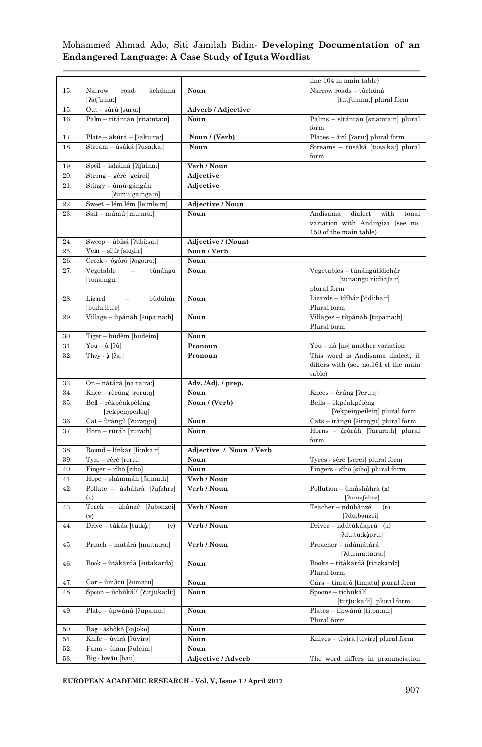|     |                                |                         | line 104 in main table)              |
|-----|--------------------------------|-------------------------|--------------------------------------|
| 15. | road-<br>Narrow<br>àchúnná     | Noun                    | Narrow roads - tùchúná               |
|     | [?atʃuːnaː]                    |                         | [tutʃu:nna:] plural form             |
| 15. | Out - sùrú [suru:]             | Adverb / Adjective      |                                      |
| 16. | Palm – rìtántán [rita:nta:n]   | Noun                    | Palms - sìtántán [sita:nta:n] plural |
|     |                                |                         | form                                 |
| 17. | Plate - àkúrá - [?aku:ra:]     | Noun / (Verb)           | Plates - àrú [ʔaru:] plural form     |
| 18. | Stream – ùsáká [?usa:ka:]      | Noun                    | Streams – tùsáká [tusa:ka:] plural   |
|     |                                |                         | form                                 |
| 19. | Spoil – ìsháiná [ʔiʃaina:]     | Verb / Noun             |                                      |
| 20. | Strong – géré [geirei]         | Adjective               |                                      |
| 21. | Stingy – ùmú-gángán            | Adjective               |                                      |
|     | $[$ ?umu:ga:nga:n $]$          |                         |                                      |
| 22. | Sweet - lém lém [le:mle:m]     | Adjective / Noun        |                                      |
| 23. | Salt – múmú [mu:mu:]           | Noun                    | Andisama<br>dialect<br>with<br>tonal |
|     |                                |                         | variation with Andirgiza (see no.    |
|     |                                |                         | 150 of the main table)               |
| 24. | Sweep - ùbísá [?ubi:sa:]       | Adjective / (Noun)      |                                      |
| 25. | Vein – sìjír [siʤi:r]          | Noun / Verb             |                                      |
| 26. | Crock - ògóró [?ogo:ro:]       | Noun                    |                                      |
| 27. | Vegetable –<br>tùnángú         | Noun                    | Vegetables – tùnángútídíchár         |
|     | [tuna:ngu:]                    |                         | $[$ tuna:ngu:ti:di:t $[$ a:r $]$     |
|     |                                |                         | plural form                          |
| 28. | Lizard<br>bùdúhúr              | Noun                    | Lizards – ìdíhár [ʔidiːhaːr]         |
|     | [budu:hu:r]                    |                         | Plural form                          |
| 29. | Village - ùpánáh [?upa:na:h]   | Noun                    | Villages - tùpánáh [tupa:na:h]       |
|     |                                |                         | Plural form                          |
| 30. | Tiger - bùdèm [budeim]         | Noun                    |                                      |
| 31. | You – ù [ʔù]                   | Pronoun                 | You – nà [na] another variation      |
| 32. | They - $\hat{a}$ [ $2a$ :]     | Pronoun                 | This word is Andisama dialect, it    |
|     |                                |                         | differs with (see no.161 of the main |
|     |                                |                         | table)                               |
| 33. | On - nátárá [na:ta:ra:]        | Adv. /Adj. / prep.      |                                      |
| 34. | Knee – rèrúng [reru:n]         | Noun                    | Knees - èrúng [?eru:ŋ]               |
| 35. | Bell – rèkpénkpéléng           | Noun / (Verb)           | Bells – èkpénkpéléng                 |
|     | [rekpeinpeilen]                |                         | [?ekpeinpeilein] plural form         |
| 36. | Cat – ùràngù [ʔurəŋgu]         | Noun                    | Cats - iràngù [?irangu] plural form  |
| 37. | Horn – rùráh [rura:h]          | Noun                    | Horns - ậrùráh [?arura:h] plural     |
|     |                                |                         | form                                 |
| 38. | Round – línkár [li:nka:r]      | Adjective / Noun / Verb |                                      |
| 39. | Tyre – rèré [rerei]            | Noun                    | Tyres - sèré [serei] plural form     |
| 40. | Finger – rìbò [ribo]           | Noun                    | Fingers - sìbò [sibo] plural form    |
| 41. | Hope - shámmáh [faːmaːh]       | Verb / Noun             |                                      |
| 42. | Pollute - ùshàhrà [ʔuʃəhrə]    | Verb / Noun             | Pollution -- ùmàshàhrà (n)           |
|     | (v)                            |                         | [ʔuməʃəhrə]                          |
| 43. | Teach - ùbànzé [?ubanzei]      | Verb / Noun             | Teacher - ndúbànzé<br>(n)            |
|     |                                |                         | [?du:bənzei]                         |
| 44. | Drive – túkáa [tu:kậ:]<br>(v)  | Verb / Noun             | Driver – ndútúkáaprú (n)             |
|     |                                |                         | [?du:tu:kậpru:]                      |
| 45. | Preach - mátárá [ma:ta:ra:]    | Verb / Noun             | Preacher - ndúmátárá                 |
|     |                                |                         | [?du:ma:ta:ra:]                      |
| 46. | Book - ùtàkàrdà [?utakardə]    | Noun                    | Books - títàkàrdà [ti:təkardə]       |
|     |                                |                         | Plural form                          |
| 47. | Car - ùmàtù [?umatu]           | Noun                    | Cars - tìmàtù [timatu] plural form   |
| 48. | Spoon – ùchùkálí [?utfuka:li:] | Noun                    | Spoons - tíchúkálí                   |
|     |                                |                         | [ti:tʃu:ka:li] plural form           |
| 49. | Plate – ùpwánú [?upa:nu:]      | Noun                    | Plates - típwánú [ti:pa:nu:]         |
|     |                                |                         | Plural form                          |
| 50. | Bag - âshòkò [?afoko]          | Noun                    |                                      |
| 51. | Knife - ùvìrà [?uvira]         | Noun                    | Knives – tìvìrà [tivirə] plural form |
| 52. | Farm - ùlám [?uleim]           | Noun                    |                                      |
| 53. | Big - bwậu [bau]               | Adjective / Adverb      | The word differs in pronunciation    |

**EUROPEAN ACADEMIC RESEARCH - Vol. V, Issue 1 / April 2017**